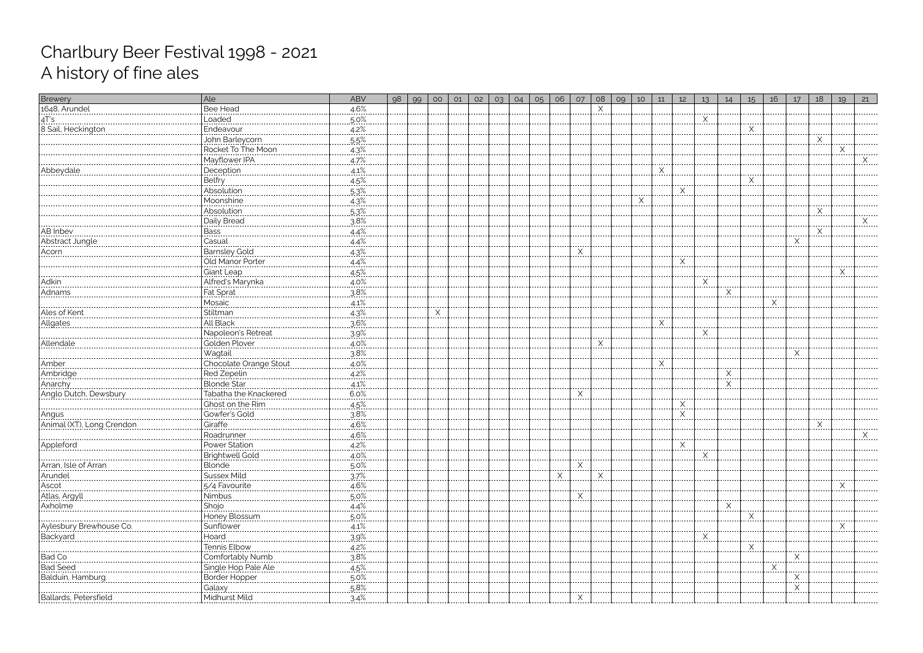| Brewery                                             | Ale                                    | ABV               | 98 | 99 | O <sub>O</sub> | 01 | 02 | O <sub>3</sub> | 04 | 05 | 06 | 07                      | 08 | 09 | 10       | 11          | 12       | 13       | 14       | 15            | 16 | 17         | 18       | 19     | 21 |
|-----------------------------------------------------|----------------------------------------|-------------------|----|----|----------------|----|----|----------------|----|----|----|-------------------------|----|----|----------|-------------|----------|----------|----------|---------------|----|------------|----------|--------|----|
| 1648, Arundel                                       | <b>Bee Head</b>                        | 4.6%<br>--------- |    |    |                |    |    |                |    |    |    |                         |    |    |          |             |          |          |          |               |    |            |          |        |    |
| <u>4T's……</u>                                       | Loaded                                 | 5.0%              |    |    |                |    |    |                |    |    |    |                         |    |    |          |             |          |          |          |               |    |            |          |        |    |
| 8 Sail, Heckington                                  | Endeavour<br>                          | $4.2\%$           |    |    |                |    |    |                |    |    |    |                         |    |    |          |             |          |          |          | $\frac{1}{1}$ |    |            |          |        |    |
|                                                     | John Barleycorn                        | 5.5%              |    |    |                |    |    |                |    |    |    |                         |    |    |          |             |          |          |          |               |    |            | $\times$ |        |    |
|                                                     | Rocket To The Moon                     | $4.3\%$           |    |    |                |    |    |                |    |    |    |                         |    |    |          |             |          |          |          |               |    |            |          | X<br>. |    |
|                                                     | Mayflower IPA                          | 4.7%              |    |    |                |    |    |                |    |    |    |                         |    |    |          |             |          |          |          |               |    |            |          |        |    |
| Abbeydale                                           |                                        | $4.1\%$           |    |    |                |    |    |                |    |    |    |                         |    |    |          | X<br>.      |          |          |          |               |    |            |          |        |    |
|                                                     | Belfry                                 | 4.5%              |    |    |                |    |    |                |    |    |    |                         |    |    |          |             |          |          |          | Χ             |    |            |          |        |    |
|                                                     | Absolution                             | $5.3\%$           |    |    |                |    |    |                |    |    |    |                         |    |    |          |             | X<br>.   |          |          |               |    |            |          |        |    |
|                                                     | Moonshine                              | $4.3\%$           |    |    |                |    |    |                |    |    |    |                         |    |    | $\times$ |             |          |          |          |               |    |            |          |        |    |
|                                                     | Absolution                             | $5.3\%$           |    |    |                |    |    |                |    |    |    |                         |    |    |          |             |          |          |          |               |    |            | X        |        |    |
|                                                     | Daily Bread                            | 3.8%              |    |    |                |    |    |                |    |    |    |                         |    |    |          |             |          |          |          |               |    |            |          |        |    |
| AB Inbev<br>                                        | <b>Bass</b><br>----------------------- | $4.4\%$           |    |    |                |    |    |                |    |    |    |                         |    |    |          |             |          |          |          |               |    |            | X<br>.   |        |    |
| Abstract Jungle                                     | Casual                                 | $4.4\%$           |    |    |                |    |    |                |    |    |    |                         |    |    |          |             |          |          |          |               |    |            |          |        |    |
| Acorn<br>                                           | Barnsley Gold                          | $4.3\%$           |    |    |                |    |    |                |    |    |    | $\times$<br>.           |    |    |          |             |          |          |          |               |    |            |          |        |    |
|                                                     | Old Manor Porter                       | 4.4%              |    |    |                |    |    |                |    |    |    |                         |    |    |          |             | X        |          |          |               |    |            |          |        |    |
|                                                     |                                        | 4.5%              |    |    |                |    |    |                |    |    |    |                         |    |    |          |             |          |          |          |               |    |            |          |        |    |
| Adkin<br>-----------                                | Alfred's Marynka                       | $4.0\%$           |    |    |                |    |    |                |    |    |    |                         |    |    |          |             |          | $\times$ |          |               |    |            |          |        |    |
| Adnams                                              | Fat Sprat                              | 3.8%              |    |    |                |    |    |                |    |    |    |                         |    |    |          |             |          |          | $\times$ |               |    |            |          |        |    |
|                                                     | Mosaic<br>-------------                | 4.1%              |    |    |                |    |    |                |    |    |    |                         |    |    |          |             |          |          |          |               | Χ  |            |          |        |    |
| Ales of Kent                                        | Stiltman                               | 4.3%              |    |    | Χ              |    |    |                |    |    |    |                         |    |    |          |             |          |          |          |               |    |            |          |        |    |
| Allgates                                            | All Black                              | 3.6%              |    |    |                |    |    |                |    |    |    |                         |    |    |          |             |          |          |          |               |    |            |          |        |    |
|                                                     | Napoleon's Retreat                     | 3.9%              |    |    |                |    |    |                |    |    |    |                         |    |    |          |             |          | Χ        |          |               |    |            |          |        |    |
| Allendale                                           | Golden Plover                          | $4.0\%$           |    |    |                |    |    |                |    |    |    |                         | .  |    |          |             |          |          |          |               |    |            |          |        |    |
|                                                     | Wagtail                                | 3.8%              |    |    |                |    |    |                |    |    |    |                         |    |    |          |             |          |          |          |               |    | X          |          |        |    |
| Amber                                               | Chocolate Orange Stout                 | $4.0\%$           |    |    |                |    |    |                |    |    |    |                         |    |    |          | X<br>------ |          |          |          |               |    |            |          |        |    |
| Ambridge                                            | Red Zepelin                            | 4.2%              |    |    |                |    |    |                |    |    |    |                         |    |    |          |             |          |          | $\times$ |               |    |            |          |        |    |
| Anarchy                                             | <b>Blonde Star</b>                     | $4.1\%$           |    |    |                |    |    |                |    |    |    | ----                    |    |    |          |             |          |          | Χ        |               |    |            |          |        |    |
| Anglo Dutch, Dewsbury                               | Tabatha the Knackered                  | 6.0%              |    |    |                |    |    |                |    |    |    | X                       |    |    |          |             |          |          |          |               |    |            |          |        |    |
|                                                     | Ghost on the Rim<br>                   | $4.5\%$           |    |    |                |    |    |                |    |    |    |                         |    |    |          |             | X<br>.   |          |          |               |    |            |          |        |    |
| Angus<br> -                                         | Gowfer's Gold                          | 3.8%              |    |    |                |    |    |                |    |    |    |                         |    |    |          |             | $\times$ |          |          |               |    |            |          |        |    |
| Animal (XT), Long Crendor                           | Giraffe                                | $4.6\%$           |    |    |                |    |    |                |    |    |    |                         |    |    |          |             |          |          |          |               |    |            | Χ<br>.   |        |    |
|                                                     | Roadrunner                             | 4.6%              |    |    |                |    |    |                |    |    |    |                         |    |    |          |             |          |          |          |               |    |            |          |        |    |
| Appleford                                           | Power Station<br>Brightwell Gold       | <u>4.2%</u>       |    |    |                |    |    |                |    |    |    |                         |    |    |          |             | ⋏<br>.   | ------   |          |               |    |            |          |        |    |
|                                                     |                                        | 4.0%              |    |    |                |    |    |                |    |    |    |                         |    |    |          |             |          |          |          |               |    |            |          |        |    |
| Arran, Isle of Arran<br>                            | <b>Blonde</b>                          | <u>.5.0%</u>      |    |    |                |    |    |                |    |    |    | $\overline{\mathsf{X}}$ |    |    |          |             |          |          |          |               |    |            |          |        |    |
| Arundel                                             | <b>Sussex Mild</b>                     | 3.7%              |    |    |                |    |    |                |    |    | X  |                         |    |    |          |             |          |          |          |               |    |            |          |        |    |
| Ascot<br>                                           | 5/4 Favourite                          | 4.6%              |    |    |                |    |    |                |    |    |    |                         |    |    |          |             |          |          |          |               |    |            |          |        |    |
| Atlas, Argyll                                       | Nimbus                                 | $.5.0\%$          |    |    |                |    |    |                |    |    |    | $\times$                |    |    |          |             |          |          |          |               |    |            |          |        |    |
| Axholme                                             | Shojo<br>                              | $4.4\%$           |    |    |                |    |    |                |    |    |    |                         |    |    |          |             |          |          |          |               |    |            |          |        |    |
|                                                     | Honey Blossum                          | 5.0%              |    |    |                |    |    |                |    |    |    |                         |    |    |          |             |          |          |          |               |    |            |          |        |    |
| Aylesbury Brewhouse Co.                             | Sunflower                              | $4.1\%$           |    |    |                |    |    |                |    |    |    |                         |    |    |          |             |          |          |          |               |    |            |          |        |    |
| Backyard                                            | Hoard                                  | $3.9\%$           |    |    |                |    |    |                |    |    |    |                         |    |    |          |             |          |          |          |               |    |            |          |        |    |
|                                                     | Tennis Elbow                           | $4.2\%$           |    |    |                |    |    |                |    |    |    |                         |    |    |          |             |          |          |          | X             |    |            |          |        |    |
| Bad Co                                              | Comfortably Numb                       | 3.8%              |    |    |                |    |    |                |    |    |    |                         |    |    |          |             |          |          |          |               |    |            |          |        |    |
| <b>Bad Seed</b>                                     | Single Hop Pale Ale                    | 4.5%              |    |    |                |    |    |                |    |    |    |                         |    |    |          |             |          |          |          |               |    |            |          |        |    |
| Balduin, Hamburg<br> ------------------------------ | Border Hopper                          | $5.0\%$           |    |    |                |    |    |                |    |    |    |                         |    |    |          |             |          |          |          |               |    | X<br>----- |          |        |    |
|                                                     | Galaxy<br>                             | $5.8\%$           |    |    |                |    |    |                |    |    |    |                         |    |    |          |             |          |          |          |               |    |            |          |        |    |
| Ballards, Petersfield                               | Midhurst Mild                          | $\ldots$ 3.4%     |    |    |                |    |    |                |    |    |    |                         |    |    |          |             |          |          |          |               |    |            |          |        |    |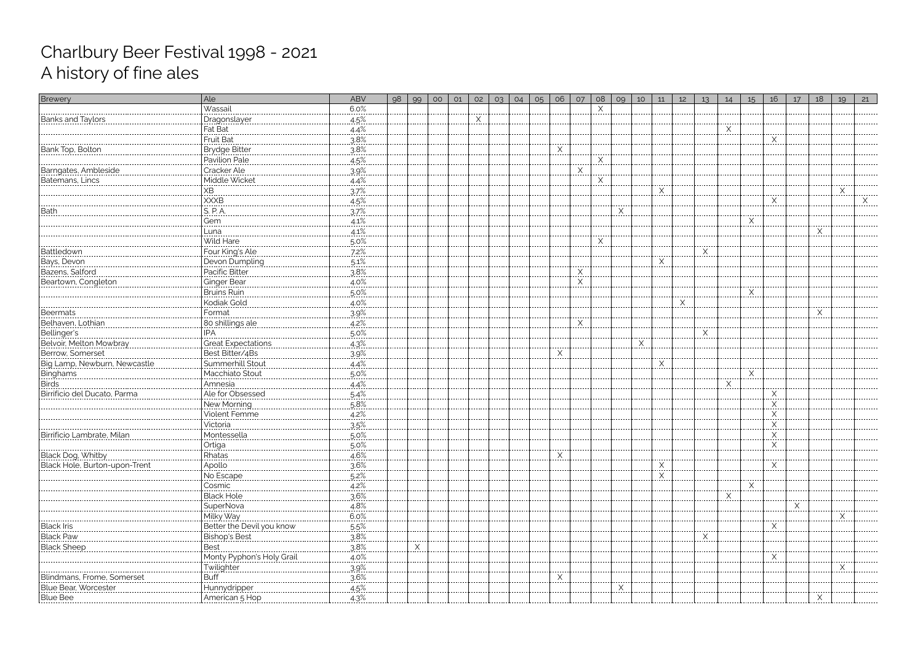| Brewery                                                                | Ale                          | <b>ABV</b>            | 98 | 99 | O <sub>O</sub> | 01 | 02     | 03 | 04 | 05 | 06         | O7          | 08 | 09 | 10       | 11          | 12 | 13 | 14 | 15       | 16           | 17 | 18 | 19       | 21 |
|------------------------------------------------------------------------|------------------------------|-----------------------|----|----|----------------|----|--------|----|----|----|------------|-------------|----|----|----------|-------------|----|----|----|----------|--------------|----|----|----------|----|
|                                                                        | Wassail                      | 6.0%                  |    |    |                |    |        |    |    |    |            |             |    |    |          |             |    |    |    |          |              |    |    |          |    |
| Banks and Taylors                                                      | Dragonslayer                 | $4.5\%$               |    |    |                |    | X<br>. |    |    |    |            |             |    |    |          |             |    |    |    |          |              |    |    |          |    |
|                                                                        | Fat Bat                      | $4.4\%$               |    |    |                |    |        |    |    |    |            |             |    |    |          |             |    |    | X  |          |              |    |    |          |    |
|                                                                        | <b>Fruit Bat</b>             | $3.8\%$               |    |    |                |    |        |    |    |    |            |             |    |    |          |             |    |    |    |          | X<br>------  |    |    |          |    |
| Bank Top, Bolton                                                       | Brydge Bitter                | $.3.8\%$              |    |    |                |    |        |    |    |    | <u>.X.</u> |             |    |    |          |             |    |    |    |          |              |    |    |          |    |
|                                                                        | Pavilion Pale                | 4.5%                  |    |    |                |    |        |    |    |    |            |             |    |    |          |             |    |    |    |          |              |    |    |          |    |
| Barngates, Ambleside                                                   | Cracker Ale                  | $3.9\%$               |    |    |                |    |        |    |    |    |            | $X$ .       |    |    |          |             |    |    |    |          |              |    |    |          |    |
| Batemans, Lincs                                                        | Middle Wicket                | 4.4%                  |    |    |                |    |        |    |    |    |            |             | X  |    |          |             |    |    |    |          |              |    |    |          |    |
|                                                                        | XB.                          | .37%                  |    |    |                |    |        |    |    |    |            |             |    |    |          | Χ           |    |    |    |          |              |    |    | $\times$ |    |
|                                                                        | . <b>.</b> .<br>XXXB         | 4.5%                  |    |    |                |    |        |    |    |    |            |             |    |    |          |             |    |    |    |          | Χ            |    |    |          |    |
| Bath<br>                                                               | .<br>S. P. A.                | 3.7%                  |    |    |                |    |        |    |    |    |            |             |    |    |          |             |    |    |    |          |              |    |    |          |    |
|                                                                        | Gem                          | 4.1%                  |    |    |                |    |        |    |    |    |            |             |    |    |          |             |    |    |    | X        |              |    |    |          |    |
|                                                                        | Luna                         | $4.1\%$               |    |    |                |    |        |    |    |    |            |             |    |    |          |             |    |    |    |          |              |    | X  |          |    |
|                                                                        | Wild Hare                    | $5.0\%$               |    |    |                |    |        |    |    |    |            |             |    |    |          |             |    |    |    |          |              |    |    |          |    |
| Battledown                                                             | Four King's Ale              | $7.2\%$               |    |    |                |    |        |    |    |    |            |             | .  |    |          |             |    | X  |    |          |              |    |    |          |    |
| Bays, Devon                                                            | Devon Dumpling               | $5.1\%$               |    |    |                |    |        |    |    |    |            |             |    |    |          |             |    |    |    |          |              |    |    |          |    |
| Bazens, Salford                                                        | Pacific Bitter               | 3.8%                  |    |    |                |    |        |    |    |    |            | X           |    |    |          |             |    |    |    |          |              |    |    |          |    |
| Beartown, Congleton                                                    |                              | $4.0\%$               |    |    |                |    |        |    |    |    |            | $\mathsf X$ |    |    |          |             |    |    |    |          |              |    |    |          |    |
|                                                                        | Ginger Bear<br>Bruins Ruin   | 5.0%                  |    |    |                |    |        |    |    |    |            | $\cdots$    |    |    |          |             |    |    |    | $\times$ |              |    |    |          |    |
|                                                                        | Kodiak Gold                  | $4.0\%$               |    |    |                |    |        |    |    |    |            |             |    |    |          |             | X  |    |    |          |              |    |    |          |    |
| -----------------<br>Beermats                                          | <u>Format </u>               | 39%                   |    |    |                |    |        |    |    |    |            |             |    |    |          |             |    |    |    |          |              |    |    |          |    |
| Belhaven, Lothian                                                      | 80 shillings ale             | 4.2%                  |    |    |                |    |        |    |    |    |            | X           |    |    |          |             |    |    |    |          |              |    |    |          |    |
| Bellinger's                                                            |                              | $.5.0\%$              |    |    |                |    |        |    |    |    |            |             |    |    |          |             |    | X  |    |          |              |    |    |          |    |
|                                                                        | Creat Expectations           | $4.3\%$               |    |    |                |    |        |    |    |    |            |             |    |    | $\times$ |             |    |    |    |          |              |    |    |          |    |
| Belvoir, Melton Mowbray<br>Belvoir, Melton Mowbray<br>Berrow, Somerset | Best Bitter/4Bs              | 3.9%                  |    |    |                |    |        |    |    |    |            |             |    |    |          |             |    |    |    |          |              |    |    |          |    |
| Big Lamp, Newburn, Newcastle                                           | Summerhill Stout             | 4.4%                  |    |    |                |    |        |    |    |    | $\times$   |             |    |    |          | X           |    |    |    |          |              |    |    |          |    |
|                                                                        |                              |                       |    |    |                |    |        |    |    |    |            |             |    |    |          |             |    |    |    | X        |              |    |    |          |    |
| Birds                                                                  | Macchiato Stout              | $5.0\%$               |    |    |                |    |        |    |    |    |            |             |    |    |          |             |    |    |    | ------   |              |    |    |          |    |
| Birrificio del Ducato, Parma                                           | Amnesia                      | 4.4%                  |    |    |                |    |        |    |    |    |            |             |    |    |          |             |    |    |    |          |              |    |    |          |    |
|                                                                        | Ale for Obsessed             | $5.4\%$               |    |    |                |    |        |    |    |    |            |             |    |    |          |             |    |    |    |          | X<br>X       |    |    |          |    |
|                                                                        | New Morning<br>Violent Femme | 5.8%<br>4.2%          |    |    |                |    |        |    |    |    |            |             |    |    |          |             |    |    |    |          | X            |    |    |          |    |
|                                                                        |                              | ------------          |    |    |                |    |        |    |    |    |            |             |    |    |          |             |    |    |    |          | ------       |    |    |          |    |
|                                                                        | Victoria                     | 3.5%                  |    |    |                |    |        |    |    |    |            |             |    |    |          |             |    |    |    |          | X            |    |    |          |    |
| Birrificio Lambrate, Milan                                             | Montessella                  | $5.0\%$               |    |    |                |    |        |    |    |    |            |             |    |    |          |             |    |    |    |          | X<br>------- |    |    |          |    |
|                                                                        | Ortiga                       | <u>.5.0%.</u>         |    |    |                |    |        |    |    |    |            |             |    |    |          |             |    |    |    |          | X.           |    |    |          |    |
| Black Dog, Whitby                                                      | Rhatas                       | 4.6%<br>. <b>. .</b>  |    |    |                |    |        |    |    |    | X          |             |    |    |          |             |    |    |    |          |              |    |    |          |    |
| Black Hole, Burton-upon-Trent                                          | Apollo<br>. . <b>.</b>       | $3.6\%$               |    |    |                |    |        |    |    |    |            |             |    |    |          | <u>. X.</u> |    |    |    |          | X            |    |    |          |    |
|                                                                        | No Escape                    | $5.2\%$               |    |    |                |    |        |    |    |    |            |             |    |    |          |             |    |    |    |          |              |    |    |          |    |
|                                                                        | Cosmic                       | $4.2\%$               |    |    |                |    |        |    |    |    |            |             |    |    |          |             |    |    |    | X        |              |    |    |          |    |
|                                                                        | <b>Black Hole</b>            | .36%                  |    |    |                |    |        |    |    |    |            |             |    |    |          |             |    |    |    |          |              |    |    |          |    |
|                                                                        | SuperNova                    | $4.8\%$               |    |    |                |    |        |    |    |    |            |             |    |    |          |             |    |    |    |          |              | .  |    |          |    |
|                                                                        | Milky Way                    | 6.0%                  |    |    |                |    |        |    |    |    |            |             |    |    |          |             |    |    |    |          |              |    |    |          |    |
| Black Iris                                                             | Better the Devil you know    | $5.5\%$               |    |    |                |    |        |    |    |    |            |             |    |    |          |             |    |    |    |          | <u>.X.</u>   |    |    |          |    |
| Black Paw                                                              | <b>Bishop's Best</b><br>.    | 3.8%                  |    |    |                |    |        |    |    |    |            |             |    |    |          |             |    | X  |    |          |              |    |    |          |    |
| Black Sheep                                                            | Best                         | 3.8%                  |    | X  |                |    |        |    |    |    |            |             |    |    |          |             |    |    |    |          |              |    |    |          |    |
|                                                                        | Monty Pyphon's Holy Grail    | $4.0\%$               |    |    |                |    |        |    |    |    |            |             |    |    |          |             |    |    |    |          | X            |    |    |          |    |
|                                                                        | Twilighter                   | 3.9%                  |    |    |                |    |        |    |    |    |            |             |    |    |          |             |    |    |    |          |              |    |    | X        |    |
| <b>Blindmans, Frome, Somerset</b>                                      | <b>Buff</b>                  | $3.6\%$               |    |    |                |    |        |    |    |    | X<br>.     |             |    |    |          |             |    |    |    |          |              |    |    |          |    |
| Blue Bear, Worcester                                                   | Hunnydripper                 | $4.5\%$               |    |    |                |    |        |    |    |    |            |             |    |    |          |             |    |    |    |          |              |    |    |          |    |
|                                                                        |                              | $\frac{4.3\%}{4.3\%}$ |    |    |                |    |        |    |    |    |            |             |    |    |          |             |    |    |    |          |              |    |    |          |    |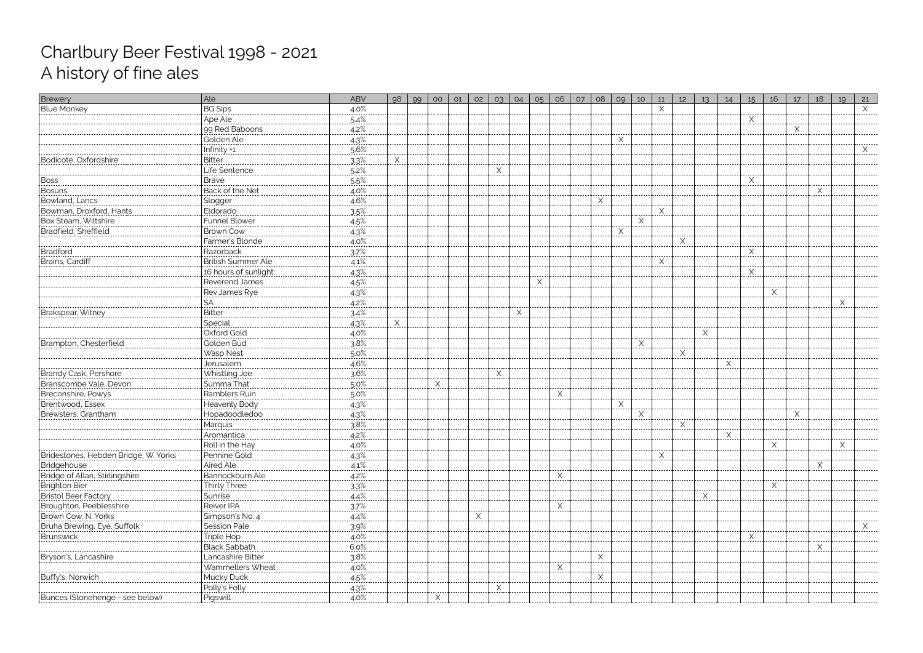| Brewery                                                          | Ale                                                               | <b>ABV</b> | 98 | 99 | 00       | 01 | 02                   | 03 | 04       | 05 | 06       | O7 | 08         | 09         | 10       | 11 | 12           | 13           | 14 | 15           | 16                      | 17 | 18 | 19                 | 21       |
|------------------------------------------------------------------|-------------------------------------------------------------------|------------|----|----|----------|----|----------------------|----|----------|----|----------|----|------------|------------|----------|----|--------------|--------------|----|--------------|-------------------------|----|----|--------------------|----------|
| <b>Blue Monkey</b>                                               | <b>BG Sips</b>                                                    | 4.0%       |    |    |          |    |                      |    |          |    |          |    |            |            |          |    |              |              |    |              |                         |    |    |                    | $\times$ |
|                                                                  | Ape Ale                                                           | 5.4%       |    |    |          |    |                      |    |          |    |          |    |            |            |          |    |              |              |    | Χ            |                         |    |    |                    |          |
|                                                                  | 99 Red Baboons                                                    | $4.2\%$    |    |    |          |    |                      |    |          |    |          |    |            |            |          |    |              |              |    |              |                         | X  |    |                    |          |
|                                                                  | Golden Ale                                                        | 4.3%       |    |    |          |    |                      |    |          |    |          |    |            | X<br>.     |          |    |              |              |    |              |                         |    |    |                    |          |
|                                                                  | <u> Infinity +1</u>                                               | $5.6\%$    |    |    |          |    |                      |    |          |    |          |    |            |            |          |    |              |              |    |              |                         |    |    |                    |          |
| Bodicote, Oxfordshire                                            | <b>Bitter</b>                                                     | $3.3\%$    | Χ  |    |          |    |                      |    |          |    |          |    |            |            |          |    |              |              |    |              |                         |    |    |                    |          |
|                                                                  | life Sentence                                                     | $.5.2\%$   |    |    |          |    |                      |    |          |    |          |    |            |            |          |    |              |              |    |              |                         |    |    |                    |          |
| Boss<br> -------------                                           | <b>Brave</b><br>.                                                 | $.5.5\%$   |    |    |          |    |                      |    |          |    |          |    |            |            |          |    |              |              |    | X<br>-----   |                         |    |    |                    |          |
| Bosuns<br> -------------                                         | Back of the Net                                                   | 4.0%       |    |    |          |    |                      |    |          |    |          |    |            |            |          |    |              |              |    |              |                         |    | X  |                    |          |
|                                                                  |                                                                   | $4.6\%$    |    |    |          |    |                      |    |          |    |          |    | X<br>----- |            |          |    |              |              |    |              |                         |    |    |                    |          |
| Bowman, Droxford, Hants                                          | Eldorado                                                          | 3.5%       |    |    |          |    |                      |    |          |    |          |    |            |            |          |    |              |              |    |              |                         |    |    |                    |          |
| Box Steam, Wiltshire<br>Bradfield, Sheffield                     | <b>Funnel Blower</b>                                              | $4.5\%$    |    |    |          |    |                      |    |          |    |          |    |            |            | X        |    |              |              |    |              |                         |    |    |                    |          |
|                                                                  | <b>Brown Cow</b>                                                  | 4.3%       |    |    |          |    |                      |    |          |    |          |    |            | X          |          |    |              |              |    |              |                         |    |    |                    |          |
|                                                                  | Farmer's Blonde                                                   | $4.0\%$    |    |    |          |    |                      |    |          |    |          |    |            |            |          |    | <u>. X .</u> |              |    |              |                         |    |    |                    |          |
| Bradford<br>-----------------                                    | Razorback                                                         | 3.7%       |    |    |          |    |                      |    |          |    |          |    |            |            |          |    |              |              |    | X            |                         |    |    |                    |          |
| Brains, Cardiff                                                  | British Summer Ale                                                | 4.1%       |    |    |          |    |                      |    |          |    |          |    |            |            |          |    |              |              |    |              |                         |    |    |                    |          |
|                                                                  | 16 hours of sunlight                                              | 4.3%       |    |    |          |    |                      |    |          |    |          |    |            |            |          |    |              |              |    |              |                         |    |    |                    |          |
|                                                                  | Reverend James                                                    | .4.5%      |    |    |          |    |                      |    |          | X  |          |    |            |            |          |    |              |              |    |              |                         |    |    |                    |          |
|                                                                  | Rev James Rye                                                     | $4.3\%$    |    |    |          |    |                      |    |          |    |          |    |            |            |          |    |              |              |    |              | $\mathsf{X}_\mathsf{r}$ |    |    |                    |          |
|                                                                  | SА                                                                | 4.2%       |    |    |          |    |                      |    |          |    |          |    |            |            |          |    |              |              |    |              |                         |    |    | Χ                  |          |
| Brakspear, Witney                                                | Bitter<br>-----------------                                       | 34%        |    |    |          |    |                      |    | $\times$ |    |          |    |            |            |          |    |              |              |    |              |                         |    |    |                    |          |
|                                                                  | Special                                                           | 4.3%       | Χ  |    |          |    |                      |    |          |    |          |    |            |            |          |    |              |              |    |              |                         |    |    |                    |          |
|                                                                  | Oxford Gold                                                       | $4.0\%$    |    |    |          |    |                      |    |          |    |          |    |            |            |          |    |              | Χ<br>------- |    |              |                         |    |    |                    |          |
| Brampton, Chesterfield                                           | Golden Bud                                                        | 3.8%       |    |    |          |    |                      |    |          |    |          |    |            |            | $\times$ |    |              |              |    |              |                         |    |    |                    |          |
|                                                                  | <b>Wasp Nest</b>                                                  | $5.0\%$    |    |    |          |    |                      |    |          |    |          |    |            |            |          |    | X<br>-----   |              |    |              |                         |    |    |                    |          |
|                                                                  | Jerusalem                                                         | $4.6\%$    |    |    |          |    |                      |    |          |    |          |    |            |            |          |    |              |              | Χ  |              |                         |    |    |                    |          |
| <b>Brandy Cask, Pershore</b>                                     | Whistling Joe                                                     | 3.6%       |    |    |          |    |                      |    |          |    |          |    |            |            |          |    |              |              |    |              |                         |    |    |                    |          |
| Branscombe Vale, Devon                                           | Summa That                                                        | $5.0\%$    |    |    | $\times$ |    |                      |    |          |    |          |    |            |            |          |    |              |              |    |              |                         |    |    |                    |          |
| Breconshire, Powys                                               | Ramblers Ruin                                                     | 5.0%       |    |    |          |    |                      |    |          |    | $\times$ |    |            |            |          |    |              |              |    |              |                         |    |    |                    |          |
| Brentwood, Essex                                                 | Heavenly Body                                                     | $4.3\%$    |    |    |          |    |                      |    |          |    |          |    |            | X<br>----- |          |    |              |              |    |              |                         |    |    |                    |          |
| Brewsters, Grantham                                              | Hopadoodledoo                                                     | 4.3%       |    |    |          |    |                      |    |          |    |          |    |            |            | $\times$ |    |              |              |    |              |                         | Χ  |    |                    |          |
|                                                                  | <u>Marquis</u>                                                    | 3.8%       |    |    |          |    |                      |    |          |    |          |    |            |            |          |    | Χ            |              |    |              |                         |    |    |                    |          |
|                                                                  | Aromantica                                                        | 4.2%       |    |    |          |    |                      |    |          |    |          |    |            |            |          |    |              |              | Χ  |              |                         |    |    |                    |          |
|                                                                  | Roll in the Hay<br> ----------------------------<br> Pennine Gold | 4.0%       |    |    |          |    |                      |    |          |    |          |    |            |            |          |    |              |              |    |              | X.<br>                  |    |    | $\lambda$<br>----- |          |
| Bridestones, Hebden Bridae. W<br>. Yorks                         |                                                                   | 4.3%       |    |    |          |    |                      |    |          |    |          |    |            |            |          |    |              |              |    |              |                         |    |    |                    |          |
| Bridgehouse                                                      | Aired Ale                                                         | $4.1\%$    |    |    |          |    |                      |    |          |    |          |    |            |            |          |    |              |              |    |              |                         |    | X  |                    |          |
| Bridge of Allan, Stirlingshire                                   | Bannockburn Ale                                                   | 4.2%       |    |    |          |    |                      |    |          |    | X        |    |            |            |          |    |              |              |    |              |                         |    |    |                    |          |
|                                                                  | Thirty Three                                                      | 3.3%       |    |    |          |    |                      |    |          |    |          |    |            |            |          |    |              |              |    |              |                         |    |    |                    |          |
| Brighton Bier<br>Bristol Beer Factory<br>Broughton, Peeblesshire | Sunrise                                                           | $4.4\%$    |    |    |          |    |                      |    |          |    |          |    |            |            |          |    |              | X<br>------  |    |              |                         |    |    |                    |          |
|                                                                  | Reiver IPA                                                        | .3.7%      |    |    |          |    |                      |    |          |    |          |    |            |            |          |    |              |              |    |              |                         |    |    |                    |          |
| Brown Cow, N. Yorks                                              | Simpson's No. 4                                                   | $4.4\%$    |    |    |          |    | $\times$<br>$\cdots$ |    |          |    |          |    |            |            |          |    |              |              |    |              |                         |    |    |                    |          |
| Bruha Brewing, Eye, Suffolk                                      | Session Pale                                                      | 3.9%       |    |    |          |    |                      |    |          |    |          |    |            |            |          |    |              |              |    |              |                         |    |    |                    | X        |
| Brunswick                                                        | Triple Hop                                                        | $4.0\%$    |    |    |          |    |                      |    |          |    |          |    |            |            |          |    |              |              |    | <sup>×</sup> |                         |    |    |                    |          |
|                                                                  | <b>Black Sabbath</b>                                              | 6.0%       |    |    |          |    |                      |    |          |    |          |    |            |            |          |    |              |              |    |              |                         |    | X  |                    |          |
| Bryson's, Lancashire<br> ------------------------------          | Lancashire Bitter                                                 | .38%       |    |    |          |    |                      |    |          |    |          |    | X<br>.     |            |          |    |              |              |    |              |                         |    |    |                    |          |
|                                                                  | Wammellers Wheat                                                  | 4.0%       |    |    |          |    |                      |    |          |    | $\times$ |    |            |            |          |    |              |              |    |              |                         |    |    |                    |          |
| Buffy's, Norwich                                                 | Mucky Duck                                                        | 4.5%       |    |    |          |    |                      |    |          |    |          |    | Χ          |            |          |    |              |              |    |              |                         |    |    |                    |          |
|                                                                  | Polly's Folly                                                     | $4.3\%$    |    |    |          |    |                      |    |          |    |          |    |            |            |          |    |              |              |    |              |                         |    |    |                    |          |
| <b>Bunces (Stonehenge - see below)</b>                           | Pigswill                                                          | 4.0%       |    |    |          |    |                      |    |          |    |          |    |            |            |          |    |              |              |    |              |                         |    |    |                    |          |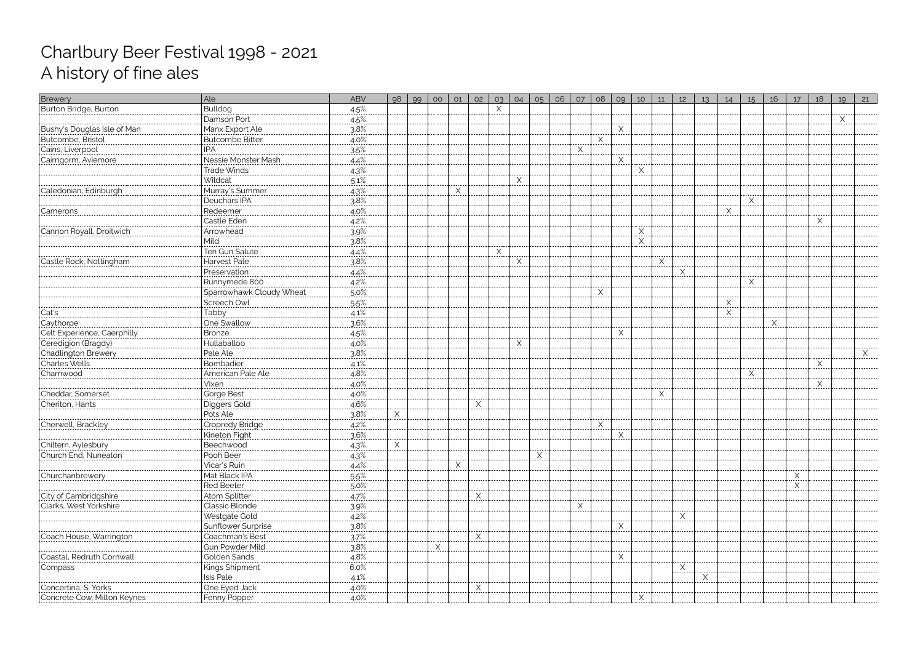| Brewery                                                         | Ale                                                               | <b>ABV</b>       | 98 | 99 | O <sub>O</sub> | 01 | 02     | O <sub>3</sub> | 04                             | O <sub>5</sub> | 06 | 07 | 08       | 09         | 10            | 11 | 12           | 13 | 14            | 15 | 16 | 17 | 18       | 19 | 21 |
|-----------------------------------------------------------------|-------------------------------------------------------------------|------------------|----|----|----------------|----|--------|----------------|--------------------------------|----------------|----|----|----------|------------|---------------|----|--------------|----|---------------|----|----|----|----------|----|----|
| Burton Bridge, Burton                                           | Bulldog                                                           | $4.5\%$          |    |    |                |    |        | X              |                                |                |    |    |          |            |               |    |              |    |               |    |    |    |          |    |    |
|                                                                 | Damson Port                                                       | $4.5\%$          |    |    |                |    |        |                |                                |                |    |    |          |            |               |    |              |    |               |    |    |    |          | X  |    |
| Bushy's Douglas Isle of Man                                     | Manx Export Ale                                                   | $3.8\%$          |    |    |                |    |        |                |                                |                |    |    |          | X<br>----- |               |    |              |    |               |    |    |    |          |    |    |
| Butcombe, Bristol                                               | Butcombe Bitter                                                   | $4.0\%$          |    |    |                |    |        |                |                                |                |    |    | X<br>.   |            |               |    |              |    |               |    |    |    |          |    |    |
| Cains, Liverpool                                                |                                                                   | 3.5%             |    |    |                |    |        |                |                                |                |    | Χ  |          |            |               |    |              |    |               |    |    |    |          |    |    |
| Cairngorm, Aviemore                                             | Nessie Monster Mash                                               | $4.4\%$          |    |    |                |    |        |                |                                |                |    |    |          | X          |               |    |              |    |               |    |    |    |          |    |    |
|                                                                 | Trade Winds                                                       | 4.3%             |    |    |                |    |        |                |                                |                |    |    |          |            | X             |    |              |    |               |    |    |    |          |    |    |
|                                                                 | Wildcat                                                           | $5.1\%$          |    |    |                |    |        |                | $\mathsf{X}_{\cdot\cdot\cdot}$ |                |    |    |          |            |               |    |              |    |               |    |    |    |          |    |    |
| Caledonian, Edinburgh                                           | Murray's Summer                                                   | 4.3%             |    |    |                | Χ  |        |                |                                |                |    |    |          |            |               |    |              |    |               |    |    |    |          |    |    |
|                                                                 | Deuchars IPA                                                      | $3.8\%$          |    |    |                |    |        |                |                                |                |    |    |          |            |               |    |              |    |               | X  |    |    |          |    |    |
| .<br>Camerons                                                   | Redeemer                                                          | $4.0\%$          |    |    |                |    |        |                |                                |                |    |    |          |            |               |    |              |    | X             |    |    |    |          |    |    |
|                                                                 | Castle Eden                                                       | $4.2\%$          |    |    |                |    |        |                |                                |                |    |    |          |            |               |    |              |    |               |    |    |    | X        |    |    |
| Cannon Royall, Droitwich                                        | Arrowhead                                                         | $.39\%$          |    |    |                |    |        |                |                                |                |    |    |          |            | X             |    |              |    |               |    |    |    |          |    |    |
|                                                                 | Mild                                                              | 3.8%             |    |    |                |    |        |                |                                |                |    |    |          |            | .<br>$\times$ |    |              |    |               |    |    |    |          |    |    |
|                                                                 | Ten Gun Salute                                                    | $4.4\%$          |    |    |                |    |        | X              |                                |                |    |    |          |            |               |    |              |    |               |    |    |    |          |    |    |
| Castle Rock, Nottingham                                         | Harvest Pale                                                      | 3.8%             |    |    |                |    |        | -----          | $\times$                       |                |    |    |          |            |               | Χ  |              |    |               |    |    |    |          |    |    |
|                                                                 | Preservation                                                      | $4.4\%$          |    |    |                |    |        |                |                                |                |    |    |          |            |               |    | Χ            |    |               |    |    |    |          |    |    |
|                                                                 | Runnymede 800                                                     | 4.2%             |    |    |                |    |        |                |                                |                |    |    |          |            |               |    |              |    |               | X  |    |    |          |    |    |
|                                                                 | Sparrowhawk Cloudy Wheat                                          | $.5.0\%$         |    |    |                |    |        |                |                                |                |    |    | $\times$ |            |               |    |              |    |               |    |    |    |          |    |    |
|                                                                 | Screech Owl                                                       | .5.5%            |    |    |                |    |        |                |                                |                |    |    |          |            |               |    |              |    | X             |    |    |    |          |    |    |
|                                                                 | Tabby                                                             | 4.1%             |    |    |                |    |        |                |                                |                |    |    |          |            |               |    |              |    | .<br>$\times$ |    |    |    |          |    |    |
| Cat's                                                           | One Swallow                                                       | 3.6%             |    |    |                |    |        |                |                                |                |    |    |          |            |               |    |              |    |               |    | X  |    |          |    |    |
| Caythorpe<br>Celt Experience, Caerphilly<br>Ceredigion (Bragdy) | Bronze                                                            | 4.5%             |    |    |                |    |        |                |                                |                |    |    |          | X          |               |    |              |    |               |    |    |    |          |    |    |
|                                                                 | Hullaballoo                                                       |                  |    |    |                |    |        |                | X                              |                |    |    |          |            |               |    |              |    |               |    |    |    |          |    |    |
| Chadlington Brewery                                             |                                                                   | $4.0\%$<br>3.8%  |    |    |                |    |        |                |                                |                |    |    |          |            |               |    |              |    |               |    |    |    |          |    |    |
|                                                                 | Pale Ale                                                          |                  |    |    |                |    |        |                |                                |                |    |    |          |            |               |    |              |    |               |    |    |    | $\times$ |    |    |
| Charles Wells<br>Charnwood                                      | Bombadier<br>American Pale Ale                                    | $4.1\%$<br>4.8%  |    |    |                |    |        |                |                                |                |    |    |          |            |               |    |              |    |               | X  |    |    |          |    |    |
|                                                                 | Vixen                                                             |                  |    |    |                |    |        |                |                                |                |    |    |          |            |               |    |              |    |               |    |    |    | X        |    |    |
|                                                                 |                                                                   | $4.0\%$          |    |    |                |    |        |                |                                |                |    |    |          |            |               |    |              |    |               |    |    |    | .        |    |    |
| Cheriton, Hants                                                 | Gorge Best                                                        | $4.0\%$<br>4.6%  |    |    |                |    | X      |                |                                |                |    |    |          |            |               |    |              |    |               |    |    |    |          |    |    |
|                                                                 | Diggers Gold<br>Pots Ale                                          |                  |    |    |                |    |        |                |                                |                |    |    |          |            |               |    |              |    |               |    |    |    |          |    |    |
|                                                                 |                                                                   | 3.8%             |    |    |                |    |        |                |                                |                |    |    |          |            |               |    |              |    |               |    |    |    |          |    |    |
| Cherwell, Brackley                                              | Cropredy Bridge                                                   | 4.2%<br>-------- |    |    |                |    |        |                |                                |                |    |    | Χ        |            |               |    |              |    |               |    |    |    |          |    |    |
|                                                                 | Kineton Fight                                                     | 3.6%             |    |    |                |    |        |                |                                |                |    |    |          | $X_{}$     |               |    |              |    |               |    |    |    |          |    |    |
| Chiltern, Aylesbury                                             | Beechwood                                                         | $4.3\%$          | X  |    |                |    |        |                |                                |                |    |    |          |            |               |    |              |    |               |    |    |    |          |    |    |
| l Church End. Nuneator                                          | Pooh Beer                                                         | 4.3%             |    |    |                |    |        |                |                                | $\times$       |    |    |          |            |               |    |              |    |               |    |    |    |          |    |    |
|                                                                 | Vicar's Ruin                                                      | 4.4%             |    |    |                | X  |        |                |                                |                |    |    |          |            |               |    |              |    |               |    |    |    |          |    |    |
| Churchanbrewer\                                                 | Mat Black IPA                                                     | $5.5\%$          |    |    |                |    |        |                |                                |                |    |    |          |            |               |    |              |    |               |    |    | X  |          |    |    |
|                                                                 | Red Beeter                                                        | 5.0%             |    |    |                |    |        |                |                                |                |    |    |          |            |               |    |              |    |               |    |    | X  |          |    |    |
| City of Cambridgshire                                           | Atom Splitter                                                     | 4.7%             |    |    |                |    | X<br>. |                |                                |                |    |    |          |            |               |    |              |    |               |    |    |    |          |    |    |
| Clarks, West Yorkshire                                          |                                                                   | 3.9%             |    |    |                |    |        |                |                                |                |    | X  |          |            |               |    |              |    |               |    |    |    |          |    |    |
|                                                                 | Westgate Gold                                                     | $4.2\%$          |    |    |                |    |        |                |                                |                |    |    |          |            |               |    | <u>. X .</u> |    |               |    |    |    |          |    |    |
|                                                                 | Sunflower Surprise                                                | 3.8%             |    |    |                |    |        |                |                                |                |    |    |          | X          |               |    |              |    |               |    |    |    |          |    |    |
| Coach House, Warringtoi                                         | Coachman's Best                                                   | 37%              |    |    |                |    | Χ      |                |                                |                |    |    |          |            |               |    |              |    |               |    |    |    |          |    |    |
|                                                                 | ----------------------------<br> Gun Powder Mild<br> Golden Sands | $3.8%$<br>4.8%   |    |    | X              |    |        |                |                                |                |    |    |          |            |               |    |              |    |               |    |    |    |          |    |    |
| Coastal, Redruth Cornwall                                       |                                                                   |                  |    |    |                |    |        |                |                                |                |    |    |          | X          |               |    |              |    |               |    |    |    |          |    |    |
| Compass                                                         | <b>Kings Shipment</b>                                             | 6.0%             |    |    |                |    |        |                |                                |                |    |    |          |            |               |    | . X.         |    |               |    |    |    |          |    |    |
|                                                                 | Isis Pale                                                         | 4.1%             |    |    |                |    |        |                |                                |                |    |    |          |            |               |    |              |    |               |    |    |    |          |    |    |
| Concertina, S. Yorks                                            | One Eyed Jack                                                     | $4.0\%$          |    |    |                |    | X      |                |                                |                |    |    |          |            |               |    |              |    |               |    |    |    |          |    |    |
| Concrete Cow, Milton Keynes                                     | Fenny Popper                                                      | $4.0\%$          |    |    |                |    |        |                |                                |                |    |    |          |            | <u>.X.</u>    |    |              |    |               |    |    |    |          |    |    |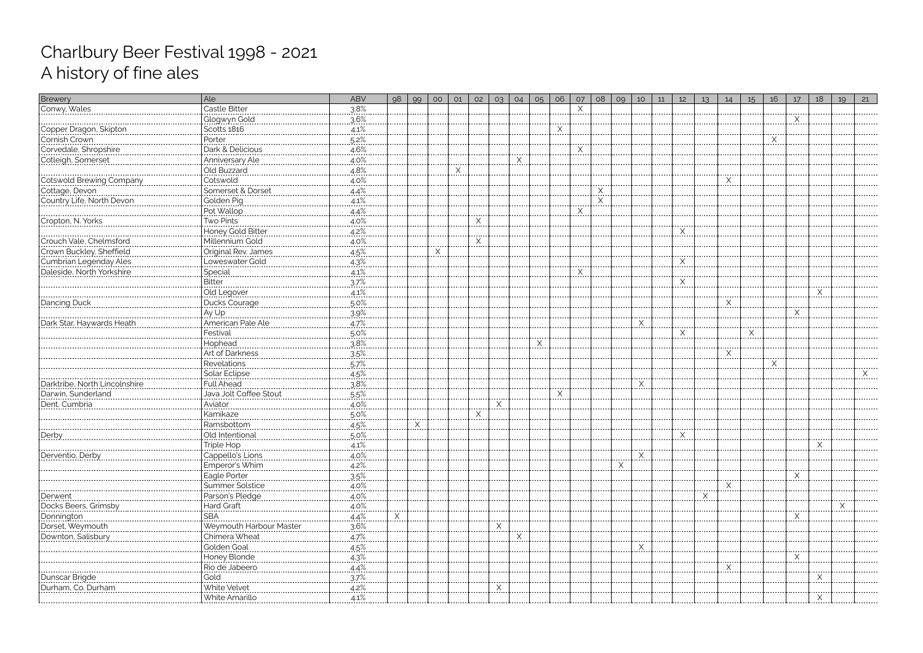| Brewery                                                                | Ale                                                                         | <b>ABV</b> | 98 | 99       | O <sub>O</sub> | 01       | 02        | 03 | 04 | 05                 | 06       | 07          | 08            | 09 | 10       | 11 | 12         | 13 | 14                        | 15 | 16       | 17 | 18          | 19 | 21 |
|------------------------------------------------------------------------|-----------------------------------------------------------------------------|------------|----|----------|----------------|----------|-----------|----|----|--------------------|----------|-------------|---------------|----|----------|----|------------|----|---------------------------|----|----------|----|-------------|----|----|
| Conwy, Wales                                                           | Castle Bitter                                                               | 3.8%       |    |          |                |          |           |    |    |                    |          | Χ           |               |    |          |    |            |    |                           |    |          |    |             |    |    |
|                                                                        | Glogwyn Gold                                                                | 3.6%       |    |          |                |          |           |    |    |                    |          |             |               |    |          |    |            |    |                           |    |          |    |             |    |    |
| Copper Dragon, Skipton                                                 | Scotts 1816                                                                 | $4.1\%$    |    |          |                |          |           |    |    |                    | <u>.</u> |             |               |    |          |    |            |    |                           |    |          |    |             |    |    |
| Cornish Crown                                                          | Porter<br>                                                                  | $5.2\%$    |    |          |                |          |           |    |    |                    |          |             |               |    |          |    |            |    |                           |    | <u>.</u> |    |             |    |    |
| Corvedale, Shropshire                                                  | Dark & Delicious                                                            | $4.6\%$    |    |          |                |          |           |    |    |                    |          | Χ           |               |    |          |    |            |    |                           |    |          |    |             |    |    |
| Cotleigh, Somerset                                                     | Anniversary Ale                                                             | $4.0\%$    |    |          |                |          |           |    | X  |                    |          |             |               |    |          |    |            |    |                           |    |          |    |             |    |    |
|                                                                        | Old Buzzard<br>  Old Buzzard<br>  Cotswold                                  | 4.8%       |    |          |                | $\times$ |           |    |    |                    |          |             |               |    |          |    |            |    |                           |    |          |    |             |    |    |
|                                                                        |                                                                             | $4.0\%$    |    |          |                |          |           |    |    |                    |          |             |               |    |          |    |            |    | $\mathsf{X}_{\mathsf{u}}$ |    |          |    |             |    |    |
| Cotswold Brewing Company<br>Cotswold Brewing Company<br>Cottage, Devon | Somerset & Dorset                                                           | $.4.4\%$   |    |          |                |          |           |    |    |                    |          |             | $\times$<br>. |    |          |    |            |    |                           |    |          |    |             |    |    |
| Country Life, North Devon                                              | Golden Pig                                                                  | $4.1\%$    |    |          |                |          |           |    |    |                    |          |             | $\times$      |    |          |    |            |    |                           |    |          |    |             |    |    |
|                                                                        | Pot Wallop                                                                  | 4.4%       |    |          |                |          |           |    |    |                    |          |             |               |    |          |    |            |    |                           |    |          |    |             |    |    |
| Cropton, N. Yorks                                                      | Two Pints<br>  Two Pints<br>  Honey Gold Bitter<br>  The Theory Cold Ditter | $4.0\%$    |    |          |                |          | Χ<br>---- |    |    |                    |          |             |               |    |          |    |            |    |                           |    |          |    |             |    |    |
|                                                                        |                                                                             | $4.2\%$    |    |          |                |          |           |    |    |                    |          |             |               |    |          |    | Χ          |    |                           |    |          |    |             |    |    |
| Crouch Vale, Chelmsford<br>Crown Buckley, Sheffield                    | Millennium Gold                                                             | $4.0\%$    |    |          |                |          | X         |    |    |                    |          |             |               |    |          |    |            |    |                           |    |          |    |             |    |    |
|                                                                        | Original Rev. James                                                         | $4.5\%$    |    |          | Χ<br>$\cdots$  |          |           |    |    |                    |          |             |               |    |          |    |            |    |                           |    |          |    |             |    |    |
| Cumbrian Legenday Ales                                                 | Loweswater Gold                                                             | 4.3%       |    |          |                |          |           |    |    |                    |          |             |               |    |          |    | X          |    |                           |    |          |    |             |    |    |
| Daleside, North Yorkshire                                              | Special<br>                                                                 | $4.1\%$    |    |          |                |          |           |    |    |                    |          | <u>. X.</u> |               |    |          |    | -----      |    |                           |    |          |    |             |    |    |
|                                                                        | Bitter                                                                      | 3.7%       |    |          |                |          |           |    |    |                    |          |             |               |    |          |    | $\times$   |    |                           |    |          |    |             |    |    |
|                                                                        | Old Legover                                                                 | 4.1%       |    |          |                |          |           |    |    |                    |          |             |               |    |          |    |            |    |                           |    |          |    | $\times$    |    |    |
| Dancing Duck                                                           | Ducks Courage                                                               | 5.0%       |    |          |                |          |           |    |    |                    |          |             |               |    |          |    |            |    | X                         |    |          |    |             |    |    |
|                                                                        | Ay Up                                                                       | 3.9%       |    |          |                |          |           |    |    |                    |          |             |               |    |          |    |            |    |                           |    |          |    |             |    |    |
| Dark Star, Haywards Heath                                              | American Pale Ale                                                           | 4.7%       |    |          |                |          |           |    |    |                    |          |             |               |    | X        |    |            |    |                           |    |          |    |             |    |    |
|                                                                        | Festival                                                                    | $5.0\%$    |    |          |                |          |           |    |    |                    |          |             |               |    |          |    | X          |    |                           | X  |          |    |             |    |    |
|                                                                        | Hophead                                                                     | 3.8%       |    |          |                |          |           |    |    | $\times$<br>------ |          |             |               |    |          |    |            |    |                           |    |          |    |             |    |    |
|                                                                        | Art of Darkness                                                             | 35%        |    |          |                |          |           |    |    |                    |          |             |               |    |          |    |            |    | $X$ .                     |    |          |    |             |    |    |
|                                                                        | Revelations                                                                 | $5.7\%$    |    |          |                |          |           |    |    |                    |          |             |               |    |          |    |            |    |                           |    | Χ        |    |             |    |    |
|                                                                        | Solar Eclipse                                                               | 4.5%       |    |          |                |          |           |    |    |                    |          |             |               |    |          |    |            |    |                           |    |          |    |             |    |    |
| Darktribe, North Lincolnshire                                          |                                                                             | $3.8\%$    |    |          |                |          |           |    |    |                    | ----     |             |               |    | $X$ .    |    |            |    |                           |    |          |    |             |    |    |
| Darwin, Sunderland                                                     | Full Ahead<br>  Full Ahead<br>  Java Jolt Coffee Stout                      | $5.5\%$    |    |          |                |          |           |    |    |                    | X        |             |               |    |          |    |            |    |                           |    |          |    |             |    |    |
| Dent, Cumbria                                                          | Aviator                                                                     | 4.0%       |    |          |                |          |           | Χ  |    |                    |          |             |               |    |          |    |            |    |                           |    |          |    |             |    |    |
|                                                                        | Kamikaze                                                                    | 5.0%       |    |          |                |          | Χ         |    |    |                    |          |             |               |    |          |    |            |    |                           |    |          |    |             |    |    |
|                                                                        | Ramsbottom                                                                  | 4.5%       |    | $\times$ |                |          |           |    |    |                    |          |             |               |    |          |    |            |    |                           |    |          |    |             |    |    |
| Derby                                                                  | Old Intentional                                                             | 5.0%       |    |          |                |          |           |    |    |                    |          |             |               |    |          |    | <u>. X</u> |    |                           |    |          |    |             |    |    |
|                                                                        | 'Triple Hop                                                                 | $4.1\%$    |    |          |                |          |           |    |    |                    |          |             |               |    |          |    |            |    |                           |    |          |    |             |    |    |
| Derventio, Derby                                                       | Cappello's Lions                                                            | 4.0%       |    |          |                |          |           |    |    |                    |          |             |               |    | $\times$ |    |            |    |                           |    |          |    |             |    |    |
|                                                                        | Emperor's Whim                                                              | 4.2%       |    |          |                |          |           |    |    |                    |          |             |               |    |          |    |            |    |                           |    |          |    |             |    |    |
|                                                                        | Eagle Porter                                                                | $3.5\%$    |    |          |                |          |           |    |    |                    |          |             |               |    |          |    |            |    |                           |    |          |    |             |    |    |
|                                                                        | Summer Solstice                                                             | $4.0\%$    |    |          |                |          |           |    |    |                    |          |             |               |    |          |    |            |    |                           |    |          |    |             |    |    |
| Derwent                                                                | Parson's Pledge                                                             | $4.0\%$    |    |          |                |          |           |    |    |                    |          |             |               |    |          |    |            |    |                           |    |          |    |             |    |    |
| Docks Beers, Grimsby                                                   | Hard Graft                                                                  | $4.0\%$    |    |          |                |          |           |    |    |                    |          |             |               |    |          |    |            |    |                           |    |          |    |             |    |    |
|                                                                        | <b>SBA</b><br>                                                              | $4.4\%$    | X  |          |                |          |           |    |    |                    |          |             |               |    |          |    |            |    |                           |    |          | X  |             |    |    |
| Dorset, Weymouth                                                       | Weymouth Harbour Master                                                     | 3.6%       |    |          |                |          |           |    |    |                    |          |             |               |    |          |    |            |    |                           |    |          |    |             |    |    |
| Downton, Salisbury                                                     | Chimera Wheat                                                               | 4.7%       |    |          |                |          |           |    | Χ  |                    |          |             |               |    |          |    |            |    |                           |    |          |    |             |    |    |
|                                                                        | Golden Goal                                                                 | 4.5%       |    |          |                |          |           |    |    |                    |          |             |               |    | X        |    |            |    |                           |    |          |    |             |    |    |
|                                                                        | Honey Blonde                                                                | $4.3\%$    |    |          |                |          |           |    |    |                    |          |             |               |    |          |    |            |    |                           |    |          |    |             |    |    |
|                                                                        | Rio de Jabeero                                                              | $4.4\%$    |    |          |                |          |           |    |    |                    |          |             |               |    |          |    |            |    | X                         |    |          |    |             |    |    |
| Dunscar Brigde                                                         | Gold                                                                        | 37%        |    |          |                |          |           |    |    |                    |          |             |               |    |          |    |            |    |                           |    |          |    |             |    |    |
| Durham, Co. Durhan                                                     | White Velvet                                                                | $4.2\%$    |    |          |                |          |           |    |    |                    |          |             |               |    |          |    |            |    |                           |    |          |    |             |    |    |
|                                                                        | White Amarillo                                                              | 4.1%       |    |          |                |          |           |    |    |                    |          |             |               |    |          |    |            |    |                           |    |          |    | ∧<br>------ |    |    |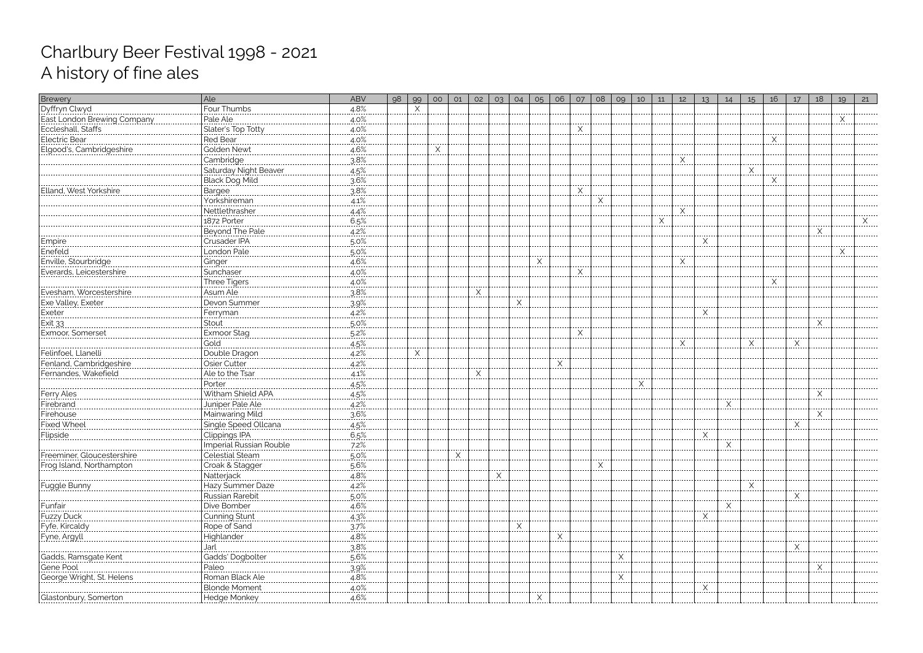| Dyffryn Clwyd<br>East London Brewing Company<br>Eccleshall, Staffs<br>Electric Bear<br>Electric Bear<br>$4.8\%$<br>X<br>Four Thumbs<br>Pale Ale<br>4.0%<br>Slater's Top Totty<br>$4.0\%$<br>$\times$<br>------<br>$4.0\%$<br><b>Red Bear</b><br><u>.X.</u><br>4.6%<br>Elgood's, Cambridgeshire<br><b>Golden Newt</b><br>Χ<br>3.8%<br>Cambridge<br>Saturday Night Beaver<br>$\frac{4.5\%}{3.6\%}$<br>$\times$<br>-----<br>Black Dog Mild<br>$\times$<br>3.8%<br>$\times$<br>Elland, West Yorkshire<br>, Bargee<br>.<br>Yorkshireman<br>4.1%<br>.<br>Nettlethrasher<br>4.4% |  |
|---------------------------------------------------------------------------------------------------------------------------------------------------------------------------------------------------------------------------------------------------------------------------------------------------------------------------------------------------------------------------------------------------------------------------------------------------------------------------------------------------------------------------------------------------------------------------|--|
|                                                                                                                                                                                                                                                                                                                                                                                                                                                                                                                                                                           |  |
|                                                                                                                                                                                                                                                                                                                                                                                                                                                                                                                                                                           |  |
|                                                                                                                                                                                                                                                                                                                                                                                                                                                                                                                                                                           |  |
|                                                                                                                                                                                                                                                                                                                                                                                                                                                                                                                                                                           |  |
|                                                                                                                                                                                                                                                                                                                                                                                                                                                                                                                                                                           |  |
|                                                                                                                                                                                                                                                                                                                                                                                                                                                                                                                                                                           |  |
|                                                                                                                                                                                                                                                                                                                                                                                                                                                                                                                                                                           |  |
|                                                                                                                                                                                                                                                                                                                                                                                                                                                                                                                                                                           |  |
|                                                                                                                                                                                                                                                                                                                                                                                                                                                                                                                                                                           |  |
|                                                                                                                                                                                                                                                                                                                                                                                                                                                                                                                                                                           |  |
|                                                                                                                                                                                                                                                                                                                                                                                                                                                                                                                                                                           |  |
| 6.5%<br>Χ<br>.                                                                                                                                                                                                                                                                                                                                                                                                                                                                                                                                                            |  |
| Beyond The Pale<br>$4.2\%$                                                                                                                                                                                                                                                                                                                                                                                                                                                                                                                                                |  |
| Crusader IPA<br>$5.0\%$<br>X<br>Empire<br>.                                                                                                                                                                                                                                                                                                                                                                                                                                                                                                                               |  |
| London Pale<br>Enefeld<br>5.0%                                                                                                                                                                                                                                                                                                                                                                                                                                                                                                                                            |  |
| Enville, Stourbridge<br>.4.6%<br>$\checkmark$<br>Ginger<br>X<br>$\cdots$                                                                                                                                                                                                                                                                                                                                                                                                                                                                                                  |  |
| Everards, Leicestershire<br>Sunchaser<br>4.0%<br>X                                                                                                                                                                                                                                                                                                                                                                                                                                                                                                                        |  |
| Three Tigers<br>$4.0\%$<br><u>.X.</u>                                                                                                                                                                                                                                                                                                                                                                                                                                                                                                                                     |  |
| Evesham, Worcestershire<br>Asum Ale<br>$\times$<br>3.8%                                                                                                                                                                                                                                                                                                                                                                                                                                                                                                                   |  |
| Exe Valley, Exeter<br>Devon Summer<br>3.9%<br>Χ                                                                                                                                                                                                                                                                                                                                                                                                                                                                                                                           |  |
| ------<br>4.2%<br><b>Exeter</b><br><u>Ferryman</u>                                                                                                                                                                                                                                                                                                                                                                                                                                                                                                                        |  |
| $.5.0\%$<br>Exit 33<br>Stout                                                                                                                                                                                                                                                                                                                                                                                                                                                                                                                                              |  |
| Exmoor Stag<br>Exmoor, Somerset<br>5.2%<br>X                                                                                                                                                                                                                                                                                                                                                                                                                                                                                                                              |  |
| $4.5\%$<br>X<br>Χ<br>X                                                                                                                                                                                                                                                                                                                                                                                                                                                                                                                                                    |  |
| .<br>.<br>.<br>4.2%<br>Felinfoel, Llanelli<br>Double Dragon<br>X                                                                                                                                                                                                                                                                                                                                                                                                                                                                                                          |  |
| Fenland, Cambridgeshire<br>4.2%<br>Osier Cutter<br>$\mathsf{X}$                                                                                                                                                                                                                                                                                                                                                                                                                                                                                                           |  |
| Ale to the Tsar<br>4.1%<br>Fernandes, Wakefield<br>X                                                                                                                                                                                                                                                                                                                                                                                                                                                                                                                      |  |
| $4.5\%$<br>Porter<br>X                                                                                                                                                                                                                                                                                                                                                                                                                                                                                                                                                    |  |
| <br> Ferry Ales<br> Firebrand<br> --<br><br>Witham Shield APA<br>4.5%<br>X                                                                                                                                                                                                                                                                                                                                                                                                                                                                                                |  |
| Juniper Pale Ale<br>4.2%<br>Χ                                                                                                                                                                                                                                                                                                                                                                                                                                                                                                                                             |  |
| 3.6%<br>Mainwaring Mild<br>Firehouse<br><br>X                                                                                                                                                                                                                                                                                                                                                                                                                                                                                                                             |  |
| <b>Fixed Wheel</b><br>Single Speed Ollcana<br>$4.5%$ .<br>X<br>.                                                                                                                                                                                                                                                                                                                                                                                                                                                                                                          |  |
| Flipside<br>Clippings IPA<br>6.5%<br><u>.X.</u>                                                                                                                                                                                                                                                                                                                                                                                                                                                                                                                           |  |
| Imperial Russian Rouble<br>$7.2\%$<br>X                                                                                                                                                                                                                                                                                                                                                                                                                                                                                                                                   |  |
| Celestial Steam<br>5.0%<br>X<br>Freeminer, Gloucestershire                                                                                                                                                                                                                                                                                                                                                                                                                                                                                                                |  |
| Frog Island, Northampton<br>Croak & Stagger<br>5.6%                                                                                                                                                                                                                                                                                                                                                                                                                                                                                                                       |  |
| 4.8%<br>Natterjack                                                                                                                                                                                                                                                                                                                                                                                                                                                                                                                                                        |  |
| Hazy Summer Daze<br>4.2%<br>Fuggle Bunny                                                                                                                                                                                                                                                                                                                                                                                                                                                                                                                                  |  |
| Russian Rarebit<br>$5.0\%$<br>⋏<br>.<br>$- - - - -$                                                                                                                                                                                                                                                                                                                                                                                                                                                                                                                       |  |
| Dive Bomber<br>4.6%<br>Funfair                                                                                                                                                                                                                                                                                                                                                                                                                                                                                                                                            |  |
| Cunning Stunt<br>$4.3\%$<br><u>. X</u><br>Fuzzy Duck                                                                                                                                                                                                                                                                                                                                                                                                                                                                                                                      |  |
| Fyfe, Kircaldy<br>Rope of Sand<br>3.7%<br>Χ                                                                                                                                                                                                                                                                                                                                                                                                                                                                                                                               |  |
| 4.8%<br>Fyne, Argyll<br>X                                                                                                                                                                                                                                                                                                                                                                                                                                                                                                                                                 |  |
| 3.8%<br>Jarl<br>X                                                                                                                                                                                                                                                                                                                                                                                                                                                                                                                                                         |  |
| Gadds' Dogbolter<br>Gadds, Ramsgate Kent<br>$5.6\%$<br>$X$ .                                                                                                                                                                                                                                                                                                                                                                                                                                                                                                              |  |
| Gene Pool<br>.3.9%<br>Paleo                                                                                                                                                                                                                                                                                                                                                                                                                                                                                                                                               |  |
| Roman Black Ale<br>4.8%<br>George Wright, St. Helens<br>$\times$                                                                                                                                                                                                                                                                                                                                                                                                                                                                                                          |  |
| <b>Blonde Moment</b><br>4.0%<br>X                                                                                                                                                                                                                                                                                                                                                                                                                                                                                                                                         |  |
| Hedge Monkey<br>$4.6\%$<br><u> Glastonbury, Somerton</u>                                                                                                                                                                                                                                                                                                                                                                                                                                                                                                                  |  |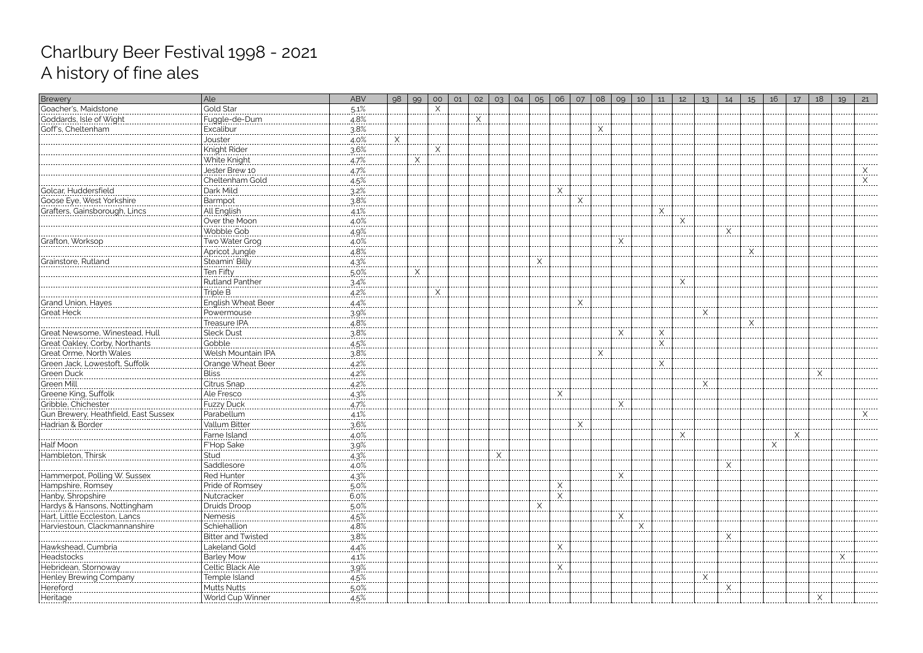| Brewery                              | Ale                                                  | <b>ABV</b>           | 98 | 99         | O <sub>O</sub> | 01 | 02       | 03 | 04 | 05       | 06         | O7       | 08 | 09          | 10 | 11 | 12        | 13          | 14 | 15          | 16 | 17         | 18 | 19 | 21 |
|--------------------------------------|------------------------------------------------------|----------------------|----|------------|----------------|----|----------|----|----|----------|------------|----------|----|-------------|----|----|-----------|-------------|----|-------------|----|------------|----|----|----|
| Goacher's, Maidstone                 | Gold Star                                            | $5.1\%$              |    |            | Χ              |    |          |    |    |          |            |          |    |             |    |    |           |             |    |             |    |            |    |    |    |
| <br> Goddards, Isle of Wight         | Fuggle-de-Dum                                        | 4.8%                 |    |            |                |    | $\times$ |    |    |          |            |          |    |             |    |    |           |             |    |             |    |            |    |    |    |
| Goff's, Cheltenham                   | Excalibur                                            | $3.8\%$              |    |            |                |    |          |    |    |          |            |          | .  |             |    |    |           |             |    |             |    |            |    |    |    |
|                                      | Jouster<br>. <b>.</b> .                              | $4.0\%$              | X  |            |                |    |          |    |    |          |            |          |    |             |    |    |           |             |    |             |    |            |    |    |    |
|                                      | Knight Rider                                         | 3.6%                 |    |            | X              |    |          |    |    |          |            |          |    |             |    |    |           |             |    |             |    |            |    |    |    |
|                                      | White Knight                                         | $4.7\%$              |    | X          |                |    |          |    |    |          |            |          |    |             |    |    |           |             |    |             |    |            |    |    |    |
|                                      | Jester Brew 10                                       | 4.7%                 |    |            |                |    |          |    |    |          |            |          |    |             |    |    |           |             |    |             |    |            |    |    |    |
|                                      | Cheltenham Gold                                      | $4.5\%$              |    |            |                |    |          |    |    |          |            |          |    |             |    |    |           |             |    |             |    |            |    |    |    |
| Golcar, Huddersfield                 | Dark Mild                                            | 3.2%                 |    |            |                |    |          |    |    |          | X          |          |    |             |    |    |           |             |    |             |    |            |    |    |    |
| Goose Eye, West Yorkshire            | Barmpot                                              | 3.8%                 |    |            |                |    |          |    |    |          |            | $\times$ |    |             |    |    |           |             |    |             |    |            |    |    |    |
| Grafters, Gainsborough, Lincs        | All English                                          | 4.1%                 |    |            |                |    |          |    |    |          |            |          |    |             |    |    |           |             |    |             |    |            |    |    |    |
|                                      | Over the Moon                                        | $4.0\%$              |    |            |                |    |          |    |    |          |            |          |    |             |    |    | X         |             |    |             |    |            |    |    |    |
|                                      | Wobble Gob                                           | $4.9\%$              |    |            |                |    |          |    |    |          |            |          |    |             |    |    |           |             | X  |             |    |            |    |    |    |
| Grafton, Worksop                     | Two Water Grog                                       | $4.0\%$              |    |            |                |    |          |    |    |          |            |          |    | X           |    |    |           |             |    |             |    |            |    |    |    |
|                                      | Apricot Jungle                                       | 4.8%<br>------------ |    |            |                |    |          |    |    |          |            |          |    |             |    |    |           |             |    | X<br>------ |    |            |    |    |    |
| Grainstore, Rutland                  | Steamin' Billy                                       | 4.3%                 |    |            |                |    |          |    |    | $\times$ |            |          |    |             |    |    |           |             |    |             |    |            |    |    |    |
|                                      | Ten Fifty<br>                                        | $5.0\%$              |    | <u>.X.</u> |                |    |          |    |    |          |            |          |    |             |    |    |           |             |    |             |    |            |    |    |    |
|                                      | Rutland Panther                                      | 3.4%                 |    |            |                |    |          |    |    |          |            |          |    |             |    |    | $\times$  |             |    |             |    |            |    |    |    |
|                                      | Triple B<br>                                         | $4.2\%$              |    |            | X              |    |          |    |    |          |            |          |    |             |    |    |           |             |    |             |    |            |    |    |    |
| Grand Union, Hayes                   | English Wheat Beer                                   | 4.4%                 |    |            |                |    |          |    |    |          |            | X        |    |             |    |    |           |             |    |             |    |            |    |    |    |
| <b>Great Heck</b>                    | Powermouse                                           | 39%                  |    |            |                |    |          |    |    |          |            |          |    |             |    |    |           |             |    |             |    |            |    |    |    |
|                                      | Treasure IPA                                         | 4.8%                 |    |            |                |    |          |    |    |          |            |          |    |             |    |    |           |             |    | X           |    |            |    |    |    |
| Great Newsome, Winestead, Hull       | <b>Sleck Dust</b>                                    | 38%                  |    |            |                |    |          |    |    |          |            |          |    | $\times$    |    | Χ  |           |             |    |             |    |            |    |    |    |
| Great Oakley, Corby, Northants       | Gobble                                               | $4.5\%$              |    |            |                |    |          |    |    |          |            |          |    |             |    | X  |           |             |    |             |    |            |    |    |    |
| Great Orme, North Wales              | ------------------------------<br>Welsh Mountain IPA | 3.8%                 |    |            |                |    |          |    |    |          |            |          | X  |             |    |    |           |             |    |             |    |            |    |    |    |
| Green Jack, Lowestoft, Suffolk       | Orange Wheat Beer                                    | $4.2\%$              |    |            |                |    |          |    |    |          |            |          |    |             |    | Χ  |           |             |    |             |    |            |    |    |    |
| Green Duck                           | <b>Bliss</b>                                         | 4.2%                 |    |            |                |    |          |    |    |          |            |          |    |             |    |    |           |             |    |             |    |            | X  |    |    |
|                                      | Citrus Snap                                          | $4.2\%$              |    |            |                |    |          |    |    |          |            |          |    |             |    |    |           | X<br>------ |    |             |    |            |    |    |    |
|                                      | Ale Fresco                                           | 4.3%                 |    |            |                |    |          |    |    |          | X          |          |    |             |    |    |           |             |    |             |    |            |    |    |    |
| Gribble, Chichester                  | Fuzzy Duck                                           | 4.7%                 |    |            |                |    |          |    |    |          |            |          |    | X           |    |    |           |             |    |             |    |            |    |    |    |
| Gun Brewery, Heathfield, East Sussex | Parabellum                                           | 4.1%<br>-------      |    |            |                |    |          |    |    |          |            |          |    |             |    |    |           |             |    |             |    |            |    |    |    |
| Hadrian & Border                     | Vallum Bitter                                        | 3.6%                 |    |            |                |    |          |    |    |          |            | X        |    |             |    |    |           |             |    |             |    |            |    |    |    |
|                                      | Farne Island                                         | $4.0\%$              |    |            |                |    |          |    |    |          |            |          |    |             |    |    | <u>.X</u> |             |    |             |    | <u>.X.</u> |    |    |    |
| Half Moon                            | F'Hop Sake                                           | 39%                  |    |            |                |    |          |    |    |          |            |          |    |             |    |    |           |             |    |             | X  |            |    |    |    |
| Hambleton, Thirsl                    | Stud                                                 | 4.3%                 |    |            |                |    |          |    |    |          |            |          |    |             |    |    |           |             |    |             |    |            |    |    |    |
|                                      | Saddlesore                                           | $4.0\%$              |    |            |                |    |          |    |    |          |            |          |    |             |    |    |           |             |    |             |    |            |    |    |    |
| Hammerpot, Polling W. Sussex         | Red Hunter                                           | $4.3\%$              |    |            |                |    |          |    |    |          |            |          |    |             |    |    |           |             |    |             |    |            |    |    |    |
|                                      | Pride of Romsey                                      | 5.0%                 |    |            |                |    |          |    |    |          |            |          |    |             |    |    |           |             |    |             |    |            |    |    |    |
|                                      | Nutcracker                                           | $6.0\%$              |    |            |                |    |          |    |    |          | X<br>      |          |    |             |    |    |           |             |    |             |    |            |    |    |    |
|                                      | Druids Droop                                         | 5.0%                 |    |            |                |    |          |    |    | Χ        |            |          |    |             |    |    |           |             |    |             |    |            |    |    |    |
| Hart, Little Eccleston, Lancs        | Nemesis<br>                                          | $4.5\%$              |    |            |                |    |          |    |    |          |            |          |    | <u>. X.</u> |    |    |           |             |    |             |    |            |    |    |    |
| Harviestoun, Clackmannanshire        | Schiehallion                                         | 4.8%                 |    |            |                |    |          |    |    |          |            |          |    |             |    |    |           |             |    |             |    |            |    |    |    |
|                                      | <b>Bitter and Twisted</b>                            | 3.8%                 |    |            |                |    |          |    |    |          |            |          |    |             |    |    |           |             |    |             |    |            |    |    |    |
| Hawkshead, Cumbria                   | Lakeland Gold                                        | $4.4\%$              |    |            |                |    |          |    |    |          | X          |          |    |             |    |    |           |             |    |             |    |            |    |    |    |
| Headstocks                           | Barley Mow                                           | 4.1%                 |    |            |                |    |          |    |    |          |            |          |    |             |    |    |           |             |    |             |    |            |    |    |    |
| Hebridean, Stornoway                 | Celtic Black Ale                                     | .39%                 |    |            |                |    |          |    |    |          | <u>.X.</u> |          |    |             |    |    |           |             |    |             |    |            |    |    |    |
| Henley Brewing Company               | Temple Island                                        | 4.5%                 |    |            |                |    |          |    |    |          |            |          |    |             |    |    |           |             |    |             |    |            |    |    |    |
| Hereford                             | Mutts Nutts                                          | $5.0\%$              |    |            |                |    |          |    |    |          |            |          |    |             |    |    |           |             |    |             |    |            |    |    |    |
| Heritage                             | World Cup Winner                                     | 4.5%                 |    |            |                |    |          |    |    |          |            |          |    |             |    |    |           |             |    |             |    |            | Χ  |    |    |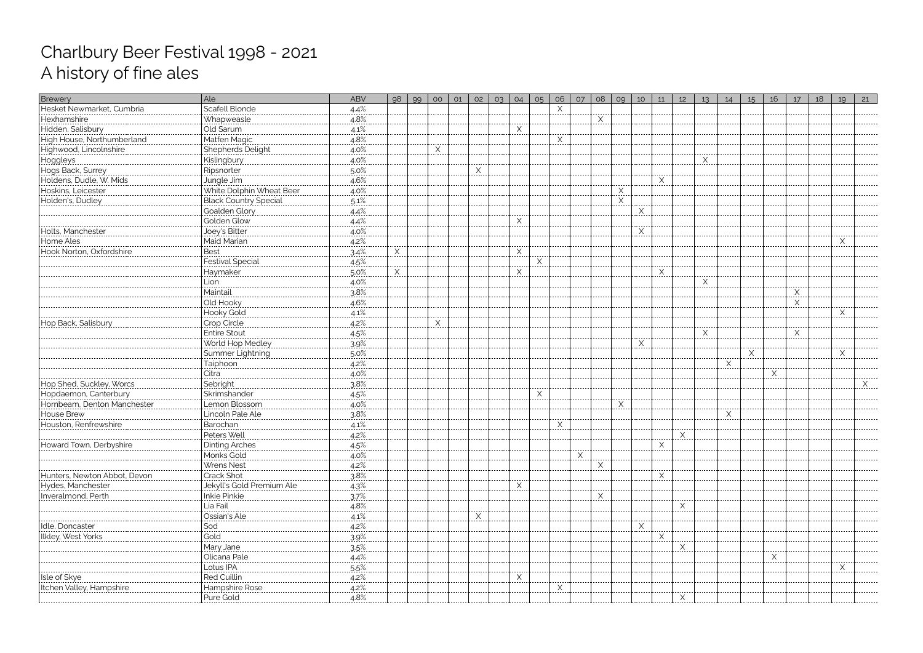| Brewery                                                                                                 | Ale                                                         | <b>ABV</b> | 98       | 99 | O <sub>O</sub> | 01 | 02        | 03 | 04                   | 05       | 06           | 07       | 08         | 09           | 10 <sup>°</sup>   | 11 | 12                 | 13 <sup>°</sup>    | 14 | 15                   | 16 | 17 | 18 | 19       | 21 |
|---------------------------------------------------------------------------------------------------------|-------------------------------------------------------------|------------|----------|----|----------------|----|-----------|----|----------------------|----------|--------------|----------|------------|--------------|-------------------|----|--------------------|--------------------|----|----------------------|----|----|----|----------|----|
| Hesket Newmarket, Cumbria                                                                               | Scafell Blonde                                              | 4.4%       |          |    |                |    |           |    |                      |          | X            |          |            |              |                   |    |                    |                    |    |                      |    |    |    |          |    |
| Hexhamshire<br>  Hexhamshire<br>  Hidden, Salisbury                                                     | Whapweasle<br> Old Sarum<br> ------------------------------ | $4.8\%$    |          |    |                |    |           |    |                      |          |              |          | ⋏<br>----- |              |                   |    |                    |                    |    |                      |    |    |    |          |    |
|                                                                                                         |                                                             | $4.1\%$    |          |    |                |    |           |    | X                    |          |              |          |            |              |                   |    |                    |                    |    |                      |    |    |    |          |    |
| High House, Northumberland                                                                              | Matfen Magic                                                | $4.8\%$    |          |    |                |    |           |    |                      |          | <u>. X .</u> |          |            |              |                   |    |                    |                    |    |                      |    |    |    |          |    |
| Highwood, Lincolnshire                                                                                  | Shepherds Delight                                           | $4.0\%$    |          |    | Χ              |    |           |    |                      |          |              |          |            |              |                   |    |                    |                    |    |                      |    |    |    |          |    |
| Hoggleys<br>  Hoggleys<br>  Hogs Back, Surrey<br>  Holdens, Dudle, W. Mids<br>  Holdens, Dudle, W. Mids | Kislingbury                                                 | 4.0%       |          |    |                |    |           |    |                      |          |              |          |            |              |                   |    |                    |                    |    |                      |    |    |    |          |    |
|                                                                                                         | Ripsnorter                                                  | $.5.0\%$   |          |    |                |    | Χ<br>---- |    |                      |          |              |          |            |              |                   |    |                    |                    |    |                      |    |    |    |          |    |
|                                                                                                         | Jungle Jim                                                  | 4.6%       |          |    |                |    |           |    |                      |          |              |          |            |              |                   |    |                    |                    |    |                      |    |    |    |          |    |
| Hoskins, Leicester                                                                                      | White Dolphin Wheat Beer                                    | $4.0\%$    |          |    |                |    |           |    |                      |          |              |          |            | $\times$<br> |                   |    |                    |                    |    |                      |    |    |    |          |    |
| Holden's, Dudley                                                                                        | Black Country Special                                       | 5.1%       |          |    |                |    |           |    |                      |          |              |          |            | $\times$     |                   |    |                    |                    |    |                      |    |    |    |          |    |
|                                                                                                         | Goalden Glory                                               | $4.4\%$    |          |    |                |    |           |    |                      |          |              |          |            |              | X                 |    |                    |                    |    |                      |    |    |    |          |    |
|                                                                                                         | Golden Glow                                                 | $.4.4\%$   |          |    |                |    |           |    |                      |          |              |          |            |              |                   |    |                    |                    |    |                      |    |    |    |          |    |
| Holts, Manchester                                                                                       | Joey's Bitter                                               | $4.0\%$    |          |    |                |    |           |    |                      |          |              |          |            |              | X<br>----         |    |                    |                    |    |                      |    |    |    |          |    |
| Home Ales                                                                                               | Maid Marian<br>-----------------                            | 4.2%       |          |    |                |    |           |    |                      |          |              |          |            |              |                   |    |                    |                    |    |                      |    |    |    | $\times$ |    |
| <br>Hook Norton, Oxfordshire                                                                            | <b>Best</b>                                                 | $.3.4\%$   | <u>X</u> |    |                |    |           |    | X<br>.               |          |              |          |            |              |                   |    |                    |                    |    |                      |    |    |    |          |    |
|                                                                                                         | Festival Special                                            | $4.5\%$    |          |    |                |    |           |    |                      | $\times$ |              |          |            |              |                   |    |                    |                    |    |                      |    |    |    |          |    |
|                                                                                                         | Haymaker                                                    | 5.0%       | X        |    |                |    |           |    | X                    |          |              |          |            |              |                   | X  |                    |                    |    |                      |    |    |    |          |    |
|                                                                                                         | Lion<br>--------------                                      | $4.0\%$    |          |    |                |    |           |    |                      |          |              |          |            |              |                   |    |                    | $\times$<br>------ |    |                      |    |    |    |          |    |
|                                                                                                         | Maintail                                                    | 3.8%       |          |    |                |    |           |    |                      |          |              |          |            |              |                   |    |                    |                    |    |                      |    | X  |    |          |    |
|                                                                                                         | Old Hooky                                                   | $4.6\%$    |          |    |                |    |           |    |                      |          |              |          |            |              |                   |    |                    |                    |    |                      |    | X  |    |          |    |
|                                                                                                         | Hooky Gold                                                  | 4.1%       |          |    |                |    |           |    |                      |          |              |          |            |              |                   |    |                    |                    |    |                      |    |    |    | Χ        |    |
| Hop Back, Salisbury                                                                                     | Crop Circle                                                 | 4.2%       |          |    |                |    |           |    |                      |          |              |          |            |              |                   |    |                    |                    |    |                      |    |    |    |          |    |
|                                                                                                         | <b>Entire Stout</b>                                         | 4.5%       |          |    |                |    |           |    |                      |          |              |          |            |              |                   |    |                    | $\times$           |    |                      |    | X  |    |          |    |
|                                                                                                         | World Hop Medley                                            | 3.9%       |          |    |                |    |           |    |                      |          |              |          |            |              | X                 |    |                    |                    |    |                      |    |    |    |          |    |
|                                                                                                         | Summer Lightning                                            | $.5.0\%$   |          |    |                |    |           |    |                      |          |              |          |            |              |                   |    |                    |                    |    | $\mathsf{X}_{\cdot}$ |    |    |    | X        |    |
|                                                                                                         | <u>Taiphoon</u>                                             | 4.2%       |          |    |                |    |           |    |                      |          |              |          |            |              |                   |    |                    |                    | X  |                      |    |    |    |          |    |
|                                                                                                         | Citra<br>-------------------                                | $4.0\%$    |          |    |                |    |           |    |                      |          |              |          |            |              |                   |    |                    |                    |    |                      |    |    |    |          |    |
| Hop Shed, Suckley, Worcs                                                                                | Sebright                                                    | 3.8%       |          |    |                |    |           |    |                      |          |              |          |            |              |                   |    |                    |                    |    |                      |    |    |    |          |    |
| Hopdaemon, Canterbury                                                                                   | Skrimshander<br>----------------------                      | 4.5%       |          |    |                |    |           |    |                      | $\times$ |              |          |            |              |                   |    |                    |                    |    |                      |    |    |    |          |    |
| Hornbeam, Denton Manchester                                                                             | Lemon Blossom                                               | 4.0%       |          |    |                |    |           |    |                      |          |              |          |            | X            |                   |    |                    |                    |    |                      |    |    |    |          |    |
| House Brew                                                                                              | Lincoln Pale Ale                                            | 3.8%       |          |    |                |    |           |    |                      |          |              |          |            |              |                   |    |                    |                    | X  |                      |    |    |    |          |    |
| Houston, Renfrewshire                                                                                   | Barochan                                                    | 4.1%       |          |    |                |    |           |    |                      |          | Χ            |          |            |              |                   |    |                    |                    |    |                      |    |    |    |          |    |
|                                                                                                         | Peters Well                                                 | $4.2\%$    |          |    |                |    |           |    |                      |          |              |          |            |              |                   |    | Χ<br>.             |                    |    |                      |    |    |    |          |    |
| Howard Town, Derbyshire                                                                                 | Dinting Arches                                              | $4.5\%$    |          |    |                |    |           |    |                      |          |              |          |            |              |                   | X  |                    |                    |    |                      |    |    |    |          |    |
|                                                                                                         | Monks Gold                                                  | .4.0%      |          |    |                |    |           |    |                      |          |              | $\times$ |            |              |                   |    |                    |                    |    |                      |    |    |    |          |    |
|                                                                                                         | Wrens Nest                                                  | $4.2\%$    |          |    |                |    |           |    |                      |          |              |          | Χ<br>      |              |                   |    |                    |                    |    |                      |    |    |    |          |    |
| Hunters. Newton Abbot. Devon                                                                            | <b>Crack Shot</b>                                           | 3.8%       |          |    |                |    |           |    |                      |          |              |          |            |              |                   |    |                    |                    |    |                      |    |    |    |          |    |
| Hydes, Manchester                                                                                       | Jekyll's Gold Premium Ale                                   | $4.3\%$    |          |    |                |    |           |    |                      |          |              |          |            |              |                   |    |                    |                    |    |                      |    |    |    |          |    |
| Inveralmond, Perth                                                                                      | Inkie Pinkie                                                | .37%       |          |    |                |    |           |    |                      |          |              |          |            |              |                   |    |                    |                    |    |                      |    |    |    |          |    |
|                                                                                                         | Lia Fail<br>                                                | $4.8\%$    |          |    |                |    |           |    |                      |          |              |          |            |              |                   |    | .                  |                    |    |                      |    |    |    |          |    |
|                                                                                                         | Ossian's Ale                                                | 4.1%       |          |    |                |    | Χ         |    |                      |          |              |          |            |              |                   |    |                    |                    |    |                      |    |    |    |          |    |
| Idle, Doncaster                                                                                         | Sod                                                         | 4.2%       |          |    |                |    |           |    |                      |          |              |          |            |              | $\overline{\chi}$ |    |                    |                    |    |                      |    |    |    |          |    |
| lkley, West Yorks                                                                                       | Gold                                                        | 3.9%       |          |    |                |    |           |    |                      |          |              |          |            |              |                   |    |                    |                    |    |                      |    |    |    |          |    |
|                                                                                                         | Mary Jane                                                   | .35%       |          |    |                |    |           |    |                      |          |              |          |            |              |                   |    | X                  |                    |    |                      |    |    |    |          |    |
|                                                                                                         | Olicana Pale                                                | $4.4\%$    |          |    |                |    |           |    |                      |          |              |          |            |              |                   |    |                    |                    |    |                      | ⋏  |    |    |          |    |
|                                                                                                         | Lotus IPA                                                   | 5.5%       |          |    |                |    |           |    |                      |          |              |          |            |              |                   |    |                    |                    |    |                      |    |    |    |          |    |
| Isle of Skye                                                                                            | Red Cuillin<br>---------------------                        | $4.2\%$    |          |    |                |    |           |    | $\times$<br>$\cdots$ |          |              |          |            |              |                   |    |                    |                    |    |                      |    |    |    |          |    |
| Itchen Valley, Hampshire                                                                                | Hampshire Rose                                              | $4.2\%$    |          |    |                |    |           |    |                      |          |              |          |            |              |                   |    |                    |                    |    |                      |    |    |    |          |    |
|                                                                                                         |                                                             |            |          |    |                |    |           |    |                      |          |              |          |            |              |                   |    | $\curvearrowright$ |                    |    |                      |    |    |    |          |    |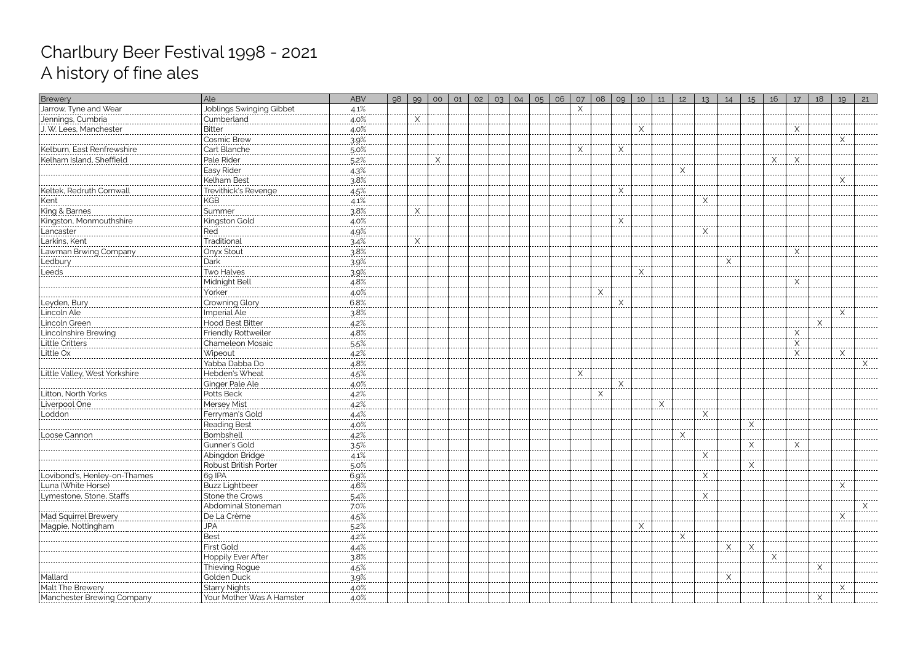| Brewery                                               | Ale                           | ABV                   | 98 | 99 | O <sub>O</sub> | 01 | 02 | 03 | 04 | O <sub>5</sub> | 06 | 07 | 08       | 09       | 10         | 11 | 12           | 13          | 14 | 15  | 16 | 17       | 18 | 19 | 21 |
|-------------------------------------------------------|-------------------------------|-----------------------|----|----|----------------|----|----|----|----|----------------|----|----|----------|----------|------------|----|--------------|-------------|----|-----|----|----------|----|----|----|
| Jarrow, Tyne and Wear                                 | Joblings Swinging Gibbet      | 4.1%                  |    |    |                |    |    |    |    |                |    | Χ  |          |          |            |    |              |             |    |     |    |          |    |    |    |
| Jennings, Cumbria                                     | Cumberland                    | $4.0\%$               |    |    |                |    |    |    |    |                |    |    |          |          |            |    |              |             |    |     |    |          |    |    |    |
| J. W. Lees, Manchester                                | <b>Bitter</b><br>             | $4.0\%$               |    |    |                |    |    |    |    |                |    |    |          |          | X<br>----- |    |              |             |    |     |    | X<br>.   |    |    |    |
|                                                       | <b>Cosmic Brew</b>            | 3.9%                  |    |    |                |    |    |    |    |                |    |    |          |          |            |    |              |             |    |     |    |          |    | X  |    |
| Kelburn, East Renfrewshire                            | Cart Blanche                  | $5.0\%$               |    |    |                |    |    |    |    |                |    |    |          | Χ        |            |    |              |             |    |     |    |          |    |    |    |
| Kelham Island, Sheffield                              | Pale Rider                    | $5.2\%$               |    |    |                |    |    |    |    |                |    |    |          |          |            |    |              |             |    |     | Х  | X        |    |    |    |
|                                                       | Easy Rider                    | 4.3%                  |    |    |                |    |    |    |    |                |    |    |          |          |            |    | $\times$     |             |    |     |    |          |    |    |    |
|                                                       | <b>Kelham Best</b>            | $3.8\%$               |    |    |                |    |    |    |    |                |    |    |          |          |            |    |              |             |    |     |    |          |    | X  |    |
| Keltek, Redruth Cornwall                              | Trevithick's Revenge          | 4.5%                  |    |    |                |    |    |    |    |                |    |    |          | $\times$ |            |    |              |             |    |     |    |          |    |    |    |
| Kent<br>                                              | KGB                           | $4.1\%$               |    |    |                |    |    |    |    |                |    |    |          |          |            |    |              |             |    |     |    |          |    |    |    |
| King & Barnes                                         | Summer                        | 3.8%                  |    | X  |                |    |    |    |    |                |    |    |          |          |            |    |              |             |    |     |    |          |    |    |    |
|                                                       | Kingston Gold                 | $4.0\%$               |    |    |                |    |    |    |    |                |    |    |          | X        |            |    |              |             |    |     |    |          |    |    |    |
|                                                       | Red                           | $4.9\%$               |    |    |                |    |    |    |    |                |    |    |          |          |            |    |              | Χ           |    |     |    |          |    |    |    |
| Kingston, Monmouthshire<br>Lancaster<br>Lankins, Kent | Traditional                   | 3.4%                  |    | Χ  |                |    |    |    |    |                |    |    |          |          |            |    |              |             |    |     |    |          |    |    |    |
| Lawman Brwing Company                                 | Onyx Stout                    | $3.8\%$               |    |    |                |    |    |    |    |                |    |    |          |          |            |    |              |             |    |     |    | X<br>.   |    |    |    |
| Ledbury                                               | Dark                          | 3.9%                  |    |    |                |    |    |    |    |                |    |    |          |          |            |    |              |             | Χ  |     |    |          |    |    |    |
| Leeds                                                 | Two Halves                    | 39%                   |    |    |                |    |    |    |    |                |    |    |          |          | X          |    |              |             |    |     |    |          |    |    |    |
|                                                       | Midnight Bell                 | 4.8%                  |    |    |                |    |    |    |    |                |    |    |          |          |            |    |              |             |    |     |    | Χ        |    |    |    |
|                                                       | Yorker                        | $4.0\%$               |    |    |                |    |    |    |    |                |    |    | $\times$ |          |            |    |              |             |    |     |    |          |    |    |    |
| Leyden, Bury                                          | Crowning Glory                | 6.8%                  |    |    |                |    |    |    |    |                |    |    | -----    | X        |            |    |              |             |    |     |    |          |    |    |    |
| Lincoln Ale                                           | Imperial Ale                  | 3.8%                  |    |    |                |    |    |    |    |                |    |    |          |          |            |    |              |             |    |     |    |          |    |    |    |
| Lincoln Green                                         | Hood Best Bitter              | 4.2%                  |    |    |                |    |    |    |    |                |    |    |          |          |            |    |              |             |    |     |    |          | Χ  |    |    |
|                                                       | Friendly Rottweiler           | .4.8%                 |    |    |                |    |    |    |    |                |    |    |          |          |            |    |              |             |    |     |    | Χ        |    |    |    |
|                                                       | Chameleon Mosaic              | $5.5\%$               |    |    |                |    |    |    |    |                |    |    |          |          |            |    |              |             |    |     |    | $\times$ |    |    |    |
| Little Ox                                             | Wipeout                       | 4.2%                  |    |    |                |    |    |    |    |                |    |    |          |          |            |    |              |             |    |     |    | .<br>X   |    | X  |    |
|                                                       | Yabba Dabba Do                | 4.8%                  |    |    |                |    |    |    |    |                |    |    |          |          |            |    |              |             |    |     |    |          |    |    |    |
| Little Valley, West Yorkshire                         | Hebden's Wheat                | 4.5%                  |    |    |                |    |    |    |    |                |    | X  |          |          |            |    |              |             |    |     |    |          |    |    |    |
|                                                       |                               | $4.0\%$               |    |    |                |    |    |    |    |                |    |    |          | X        |            |    |              |             |    |     |    |          |    |    |    |
| Litton, North Yorks                                   | Ginger Pale Ale<br>Potts Beck | $4.2\%$               |    |    |                |    |    |    |    |                |    |    | <br>X    |          |            |    |              |             |    |     |    |          |    |    |    |
| Liverpool One                                         | Mersey Mist                   | $4.2\%$               |    |    |                |    |    |    |    |                |    |    |          |          |            | Χ  |              |             |    |     |    |          |    |    |    |
| Loddon                                                | Ferryman's Gold               | 4.4%                  |    |    |                |    |    |    |    |                |    |    |          |          |            |    |              | X           |    |     |    |          |    |    |    |
|                                                       | Reading Best                  | $4.0\%$               |    |    |                |    |    |    |    |                |    |    |          |          |            |    |              |             |    | ∧   |    |          |    |    |    |
| Loose Cannon                                          | Bombshell                     | 4.2%                  |    |    |                |    |    |    |    |                |    |    |          |          |            |    | $X_{\ldots}$ |             |    |     |    |          |    |    |    |
|                                                       | Gunner's Gold                 | $3.5\%$               |    |    |                |    |    |    |    |                |    |    |          |          |            |    |              |             |    | .X. |    | X        |    |    |    |
|                                                       | Abingdon Bridge               | 4.1%                  |    |    |                |    |    |    |    |                |    |    |          |          |            |    |              | Χ           |    |     |    |          |    |    |    |
|                                                       | Robust British Porter         | $5.0\%$               |    |    |                |    |    |    |    |                |    |    |          |          |            |    |              | $- - - - -$ |    |     |    |          |    |    |    |
| Lovibond's, Henley-on-Thames                          | 69 IPA                        | 6.9%                  |    |    |                |    |    |    |    |                |    |    |          |          |            |    |              |             |    |     |    |          |    |    |    |
| Luna (White Horse)                                    | <b>Buzz Lightbeer</b>         | 4.6%                  |    |    |                |    |    |    |    |                |    |    |          |          |            |    |              |             |    |     |    |          |    |    |    |
| Lymestone, Stone, Staffs                              | Stone the Crows               | $.5.4\%$              |    |    |                |    |    |    |    |                |    |    |          |          |            |    |              | Χ           |    |     |    |          |    |    |    |
|                                                       | Abdominal Stoneman            | 7.0%                  |    |    |                |    |    |    |    |                |    |    |          |          |            |    |              | $- - - - -$ |    |     |    |          |    |    | Χ  |
| Mad Squirrel Brewery                                  | De La Crème                   | 4.5%                  |    |    |                |    |    |    |    |                |    |    |          |          |            |    |              |             |    |     |    |          |    | X  | .  |
| Magpie, Nottingham                                    | <b>JPA</b>                    | 5.2%                  |    |    |                |    |    |    |    |                |    |    |          |          | X          |    |              |             |    |     |    |          |    |    |    |
|                                                       | Best                          | 4.2%                  |    |    |                |    |    |    |    |                |    |    |          |          |            |    | Χ            |             |    |     |    |          |    |    |    |
|                                                       | First Gold                    |                       |    |    |                |    |    |    |    |                |    |    |          |          |            |    |              |             | Χ  | Χ   |    |          |    |    |    |
|                                                       | Hoppily Ever After            | $\frac{4.4\%}{3.8\%}$ |    |    |                |    |    |    |    |                |    |    |          |          |            |    |              |             |    |     |    |          |    |    |    |
|                                                       | Thieving Rogue                | $4.5\%$               |    |    |                |    |    |    |    |                |    |    |          |          |            |    |              |             |    |     |    |          | X  |    |    |
| Mallard                                               | Golden Duck                   | 3.9%                  |    |    |                |    |    |    |    |                |    |    |          |          |            |    |              |             |    |     |    |          |    |    |    |
| Malt The Brewery                                      | Starry Nights                 | $4.0\%$               |    |    |                |    |    |    |    |                |    |    |          |          |            |    |              |             |    |     |    |          |    |    |    |
| Manchester Brewing Company                            | Your Mother Was A Hamster     | 4.0%                  |    |    |                |    |    |    |    |                |    |    |          |          |            |    |              |             |    |     |    |          |    |    |    |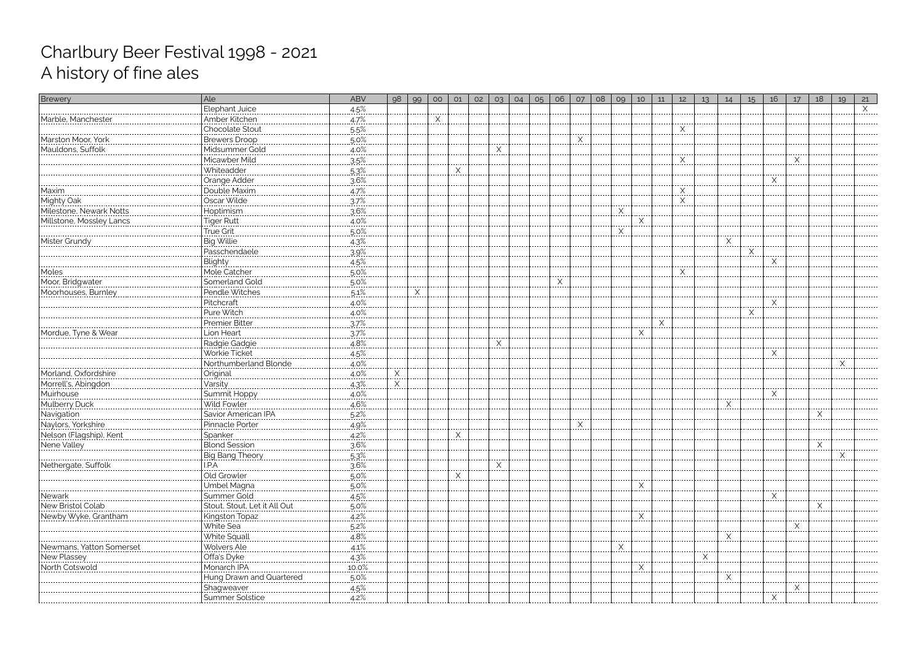| Brewery                      | Ale                                           | <b>ABV</b>   | 98            | 99 | O <sub>O</sub> | 01             | 02 | 03 | 04 | 05 | 06       | 07           | 08 | 09 | 10     | 11 | 12 | 13       | 14             | 15           | 16           | 17     | 18 | 19       | 21       |
|------------------------------|-----------------------------------------------|--------------|---------------|----|----------------|----------------|----|----|----|----|----------|--------------|----|----|--------|----|----|----------|----------------|--------------|--------------|--------|----|----------|----------|
|                              | Elephant Juice                                | 4.5%         |               |    |                |                |    |    |    |    |          |              |    |    |        |    |    |          |                |              |              |        |    |          | $\times$ |
| Marble, Manchester           | Amber Kitchen                                 | $4.7\%$      |               |    | ⋏<br>$- - - -$ |                |    |    |    |    |          |              |    |    |        |    |    |          |                |              |              |        |    |          |          |
|                              | /.::::::::::::::::::::<br>  Chocolate Stout   | $5.5\%$ .    |               |    |                |                |    |    |    |    |          |              |    |    |        |    | X  |          |                |              |              |        |    |          |          |
| Marston Moor, York           | Brewers Droop                                 | <u>.5.0%</u> |               |    |                |                |    |    |    |    |          | $\times$<br> |    |    |        |    |    |          |                |              |              |        |    |          |          |
| Mauldons, Suffolk            | Midsummer Gold                                | 4.0%         |               |    |                |                |    |    |    |    |          |              |    |    |        |    |    |          |                |              |              |        |    |          |          |
|                              | Micawber Mild<br>                             | $3.5\%$      |               |    |                |                |    |    |    |    |          |              |    |    |        |    | X  |          |                |              |              | X      |    |          |          |
|                              | Whiteadder                                    | 5.3%         |               |    |                | Χ              |    |    |    |    |          |              |    |    |        |    |    |          |                |              |              |        |    |          |          |
|                              | Orange Adder                                  | $3.6\%$      |               |    |                |                |    |    |    |    |          |              |    |    |        |    |    |          |                |              | <u>. X .</u> |        |    |          |          |
| Maxim<br>.                   | Double Maxim                                  | 4.7%         |               |    |                |                |    |    |    |    |          |              |    |    |        |    | X  |          |                |              |              |        |    |          |          |
| Mighty Oak <b>Mighty</b> Oak | Oscar Wilde                                   | .37%         |               |    |                |                |    |    |    |    |          |              |    |    |        |    | Χ  |          |                |              |              |        |    |          |          |
| Milestone, Newark Notts      | Hoptimism                                     | 3.6%         |               |    |                |                |    |    |    |    |          |              |    | Χ  |        |    |    |          |                |              |              |        |    |          |          |
| Millstone, Mossley Lancs     | <b>Tiger Rutt</b>                             | $4.0\%$      |               |    |                |                |    |    |    |    |          |              |    |    |        |    |    |          |                |              |              |        |    |          |          |
|                              | True Grit<br>-------------                    | 5.0%         |               |    |                |                |    |    |    |    |          |              |    | X  |        |    |    |          |                |              |              |        |    |          |          |
| Mister Grundy                | <b>Big Willie</b>                             | $4.3\%$      |               |    |                |                |    |    |    |    |          |              |    |    |        |    |    |          | X<br>$- - - -$ |              |              |        |    |          |          |
|                              | Passchendaele                                 | 3.9%         |               |    |                |                |    |    |    |    |          |              |    |    |        |    |    |          |                | <u>. X .</u> |              |        |    |          |          |
|                              | Blighty                                       | 4.5%         |               |    |                |                |    |    |    |    |          |              |    |    |        |    |    |          |                |              | X            |        |    |          |          |
| Moles                        | Mole Catcher                                  | 5.0%         |               |    |                |                |    |    |    |    |          |              |    |    |        |    | X  |          |                |              |              |        |    |          |          |
| Moor, Bridgwater             | Somerland Gold                                | 5.0%         |               |    |                |                |    |    |    |    | $\times$ |              |    |    |        |    |    |          |                |              |              |        |    |          |          |
| Moorhouses, Burnley          | Pendle Witches                                | $.5.1\%$     |               | X  |                |                |    |    |    |    |          |              |    |    |        |    |    |          |                |              |              |        |    |          |          |
|                              | Pitchcraft                                    | 4.0%         |               |    |                |                |    |    |    |    |          |              |    |    |        |    |    |          |                |              | X            |        |    |          |          |
|                              | Pure Witch                                    | 4.0%         |               |    |                |                |    |    |    |    |          |              |    |    |        |    |    |          |                | X            |              |        |    |          |          |
|                              | Premier Bitter                                | 3.7%         |               |    |                |                |    |    |    |    |          |              |    |    |        | Χ  |    |          |                |              |              |        |    |          |          |
| Mordue, Tyne & Wear          | Lion Heart                                    | 3.7%         |               |    |                |                |    |    |    |    |          |              |    |    | ------ |    |    |          |                |              |              |        |    |          |          |
|                              | Radgie Gadgie                                 | 4.8%         |               |    |                |                |    |    |    |    |          |              |    |    |        |    |    |          |                |              |              |        |    |          |          |
|                              | Workie Ticket                                 | 4.5%         |               |    |                |                |    |    |    |    |          |              |    |    |        |    |    |          |                |              | X<br>        |        |    |          |          |
|                              | Northumberland Blonde                         | 4.0%         |               |    |                |                |    |    |    |    |          |              |    |    |        |    |    |          |                |              |              |        |    | $\times$ |          |
| Morland, Oxfordshire         | Original <b>Market</b>                        | $4.0\%$ .    | X<br>$\cdots$ |    |                |                |    |    |    |    |          |              |    |    |        |    |    |          |                |              |              |        |    |          |          |
| Morrell's, Abingdon          | Varsity                                       | 4.3%         | $\times$      |    |                |                |    |    |    |    |          |              |    |    |        |    |    |          |                |              |              |        |    |          |          |
| Muirhouse                    | Summit Hoppy                                  | $4.0\%$      |               |    |                |                |    |    |    |    |          |              |    |    |        |    |    |          |                |              | X            |        |    |          |          |
| Mulberry Duck                | Wild Fowler                                   | 4.6%         |               |    |                |                |    |    |    |    |          |              |    |    |        |    |    |          |                |              |              |        |    |          |          |
| Navigation                   | Savior American IPA                           | $.5.2\%$     |               |    |                |                |    |    |    |    |          | $\cdots$     |    |    |        |    |    |          |                |              |              |        |    |          |          |
| Naylors, Yorkshire           | Pinnacle Porter                               | 4.9%         |               |    |                |                |    |    |    |    |          | X            |    |    |        |    |    |          |                |              |              |        |    |          |          |
| Nelson (Flagship), Kent      | Spanker                                       | $4.2\%$      |               |    |                | $\mathsf{X}\_$ |    |    |    |    |          |              |    |    |        |    |    |          |                |              |              |        |    |          |          |
| Nene Valley                  | <b>Blond Session</b>                          | 3.6%         |               |    |                |                |    |    |    |    |          |              |    |    |        |    |    |          |                |              |              |        | X  |          |          |
|                              | Big Bang Theory                               | $5.3\%$      |               |    |                |                |    |    |    |    |          |              |    |    |        |    |    |          |                |              |              |        |    | X        |          |
| Nethergate, Suffolk          | I.P.A                                         | 3.6%         |               |    |                |                |    |    |    |    |          |              |    |    |        |    |    |          |                |              |              |        |    |          |          |
|                              | Old Growler                                   | $5.0\%$      |               |    |                |                |    |    |    |    |          |              |    |    |        |    |    |          |                |              |              |        |    |          |          |
|                              | Umbel Magna                                   | 5.0%         |               |    |                |                |    |    |    |    |          |              |    |    |        |    |    |          |                |              |              |        |    |          |          |
| Newark                       | Summer Gold                                   | 4.5%         |               |    |                |                |    |    |    |    |          |              |    |    |        |    |    |          |                |              | Χ            |        |    |          |          |
| New Bristol Colab            |                                               | $5.0\%$      |               |    |                |                |    |    |    |    |          |              |    |    |        |    |    |          |                |              |              |        |    |          |          |
| Newby Wyke, Grantham         | Kingston Topaz                                | 4.2%         |               |    |                |                |    |    |    |    |          |              |    |    |        |    |    |          |                |              |              |        |    |          |          |
|                              | White Sea                                     | $5.2\%$      |               |    |                |                |    |    |    |    |          |              |    |    |        |    |    |          |                |              |              | X      |    |          |          |
|                              | White Squall                                  | 4.8%         |               |    |                |                |    |    |    |    |          |              |    |    |        |    |    |          |                |              |              |        |    |          |          |
| Newmans, Yatton Somerse      | Wolvers Ale<br>  Wolvers Ale<br>  Offa's Dyke | $4.1\%$      |               |    |                |                |    |    |    |    |          |              |    | X  |        |    |    |          |                |              |              |        |    |          |          |
| New Plassey                  |                                               | 4.3%         |               |    |                |                |    |    |    |    |          |              |    |    |        |    |    | $\times$ |                |              |              |        |    |          |          |
| North Cotswold               | Monarch IPA                                   | $10.0\%$     |               |    |                |                |    |    |    |    |          |              |    |    | X      |    |    |          |                |              |              |        |    |          |          |
|                              | Hung Drawn and Quartered                      | 5.0%         |               |    |                |                |    |    |    |    |          |              |    |    |        |    |    |          |                |              |              |        |    |          |          |
|                              | Shagweaver<br>https://www.com/                | $4.5\%$      |               |    |                |                |    |    |    |    |          |              |    |    |        |    |    |          |                |              |              | X<br>. |    |          |          |
|                              | Summer Solstice                               | 4.2%         |               |    |                |                |    |    |    |    |          |              |    |    |        |    |    |          |                |              |              |        |    |          |          |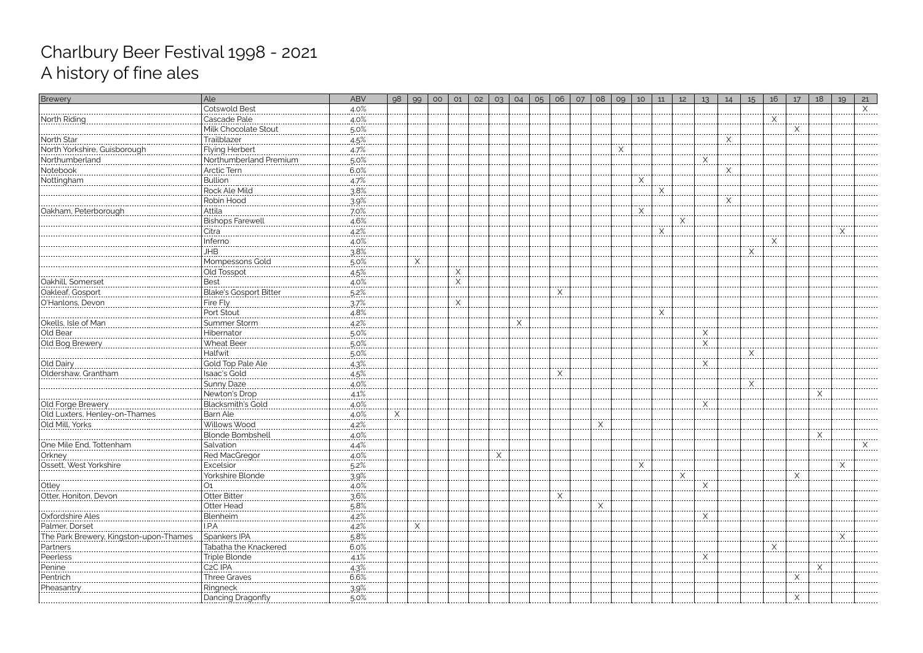| <b>Brewery</b>                                                              | Ale                     | <b>ABV</b>            | 98 | 99                       | 00 | O1                          | 02 | 03 | 04 | 05 | 06 | 07 | 08 | 09     | 10           | 11         | 12 | 13                | 14     | 15          | 16 | 17 | 18 | 19     | 21 |
|-----------------------------------------------------------------------------|-------------------------|-----------------------|----|--------------------------|----|-----------------------------|----|----|----|----|----|----|----|--------|--------------|------------|----|-------------------|--------|-------------|----|----|----|--------|----|
| ------------------------------------                                        | <b>Cotswold Best</b>    | .4.0%                 |    |                          |    |                             |    |    |    |    |    |    |    |        |              |            |    |                   |        |             |    |    |    |        | X  |
| North Riding                                                                | Cascade Pale            | 4.0%                  |    |                          |    |                             |    |    |    |    |    |    |    |        |              |            |    |                   |        |             | Χ  |    |    |        |    |
|                                                                             | Milk Chocolate Stout    | $5.0\%$               |    |                          |    |                             |    |    |    |    |    |    |    |        |              |            |    |                   |        |             |    | Χ  |    |        |    |
| North Star                                                                  | Trailblazer             | 4.5%                  |    |                          |    |                             |    |    |    |    |    |    |    |        |              |            |    |                   | X      |             |    |    |    |        |    |
| North Yorkshire, Guisborough                                                | Flying Herbert          | $4.7\%$               |    |                          |    |                             |    |    |    |    |    |    |    | X<br>. |              |            |    |                   |        |             |    |    |    |        |    |
| Northumberland                                                              | Northumberland Premium  | 5.0%                  |    |                          |    |                             |    |    |    |    |    |    |    |        |              |            |    |                   |        |             |    |    |    |        |    |
|                                                                             |                         | $6.0\%$               |    |                          |    |                             |    |    |    |    |    |    |    |        |              |            |    |                   | X<br>. |             |    |    |    |        |    |
| Nottingham                                                                  | Bullion                 | 4.7%                  |    |                          |    |                             |    |    |    |    |    |    |    |        | $\times$     |            |    |                   |        |             |    |    |    |        |    |
|                                                                             | Rock Ale Mild           | $3.8\%$               |    |                          |    |                             |    |    |    |    |    |    |    |        |              | X<br>----- |    |                   |        |             |    |    |    |        |    |
|                                                                             | Robin Hood              | 3.9%                  |    |                          |    |                             |    |    |    |    |    |    |    |        |              |            |    |                   | X      |             |    |    |    |        |    |
| Oakham, Peterborough                                                        | .Attila<br>             | 7.0%                  |    |                          |    |                             |    |    |    |    |    |    |    |        | $X$ .        |            |    |                   |        |             |    |    |    |        |    |
|                                                                             | <b>Bishops Farewell</b> | 4.6%                  |    |                          |    |                             |    |    |    |    |    |    |    |        |              |            | Χ  |                   |        |             |    |    |    |        |    |
|                                                                             | Citra<br>               | $4.2\%$               |    |                          |    |                             |    |    |    |    |    |    |    |        |              |            |    |                   |        |             |    |    |    | X<br>. |    |
|                                                                             | Inferno                 | $4.0\%$               |    |                          |    |                             |    |    |    |    |    |    |    |        |              |            |    |                   |        |             | Χ  |    |    |        |    |
|                                                                             | JНB                     | $3.8\%$               |    |                          |    |                             |    |    |    |    |    |    |    |        |              |            |    |                   |        | Χ<br>------ |    |    |    |        |    |
|                                                                             | Mompessons Gold         | 5.0%                  |    | $\underline{\mathsf{X}}$ |    |                             |    |    |    |    |    |    |    |        |              |            |    |                   |        |             |    |    |    |        |    |
|                                                                             | Old Tosspot             | 4.5%                  |    |                          |    | X                           |    |    |    |    |    |    |    |        |              |            |    |                   |        |             |    |    |    |        |    |
| Cakhill, Somerset<br>Cakhill, Somerset<br>Cakleaf, Gosport                  | <b>Best</b>             | $4.0\%$               |    |                          |    | X<br>$\cdots \cdots \cdots$ |    |    |    |    |    |    |    |        |              |            |    |                   |        |             |    |    |    |        |    |
|                                                                             | Blake's Gosport Bitter  | $.5.2\%$              |    |                          |    |                             |    |    |    |    | X  |    |    |        |              |            |    |                   |        |             |    |    |    |        |    |
| O'Hanlons, Devon                                                            | Fire Fly                | 37%                   |    |                          |    | X                           |    |    |    |    |    |    |    |        |              |            |    |                   |        |             |    |    |    |        |    |
|                                                                             | Port Stout              | 4.8%                  |    |                          |    |                             |    |    |    |    |    |    |    |        |              |            |    |                   |        |             |    |    |    |        |    |
| ----------------------------<br> Okells, Isle of Man                        | Summer Storm            | $4.2\%$               |    |                          |    |                             |    |    |    |    |    |    |    |        |              |            |    |                   |        |             |    |    |    |        |    |
| Old Bear                                                                    | Hibernator              | 5.0%                  |    |                          |    |                             |    |    |    |    |    |    |    |        |              |            |    | Χ                 |        |             |    |    |    |        |    |
| Old Bog Brewery                                                             | Wheat Beer              | $.5.0\%$              |    |                          |    |                             |    |    |    |    |    |    |    |        |              |            |    | $\times$<br>.     |        |             |    |    |    |        |    |
|                                                                             | Halfwit                 | 5.0%                  |    |                          |    |                             |    |    |    |    |    |    |    |        |              |            |    |                   |        | Χ           |    |    |    |        |    |
|                                                                             | Gold Top Pale Ale       | $4.3\%$               |    |                          |    |                             |    |    |    |    |    |    |    |        |              |            |    | $\times$<br>.     |        |             |    |    |    |        |    |
| Oldershaw, Grantham                                                         | Isaac's Gold            | 4.5%                  |    |                          |    |                             |    |    |    |    | Χ  |    |    |        |              |            |    |                   |        |             |    |    |    |        |    |
|                                                                             | Sunny Daze              | $4.0\%$               |    |                          |    |                             |    |    |    |    |    |    |    |        |              |            |    |                   |        | Χ           |    |    |    |        |    |
|                                                                             | Newton's Drop           | 4.1%                  |    |                          |    |                             |    |    |    |    |    |    |    |        |              |            |    |                   |        |             |    |    | X  |        |    |
| 01d Forge Brewery<br>  01d Forge Brewery<br>  01d Luxters, Henley-on-Thames | Blacksmith's Gold       | $4.0\%$               |    |                          |    |                             |    |    |    |    |    |    |    |        |              |            |    | Χ<br>. <b>.</b> . |        |             |    |    |    |        |    |
|                                                                             | Barn Ale                | $4.0\%$               | X  |                          |    |                             |    |    |    |    |    |    |    |        |              |            |    |                   |        |             |    |    |    |        |    |
| Old Mill, Yorks                                                             | Willows Wood            | $4.2\%$               |    |                          |    |                             |    |    |    |    |    |    | Χ  |        |              |            |    |                   |        |             |    |    |    |        |    |
|                                                                             | <b>Blonde Bombshell</b> | 4.0%                  |    |                          |    |                             |    |    |    |    |    |    |    |        |              |            |    |                   |        |             |    |    | X  |        |    |
| One Mile End, Tottenham                                                     | Salvation               | <u>4.4%</u>           |    |                          |    |                             |    | .  |    |    |    |    |    |        |              |            |    |                   |        |             |    |    |    |        |    |
| Orkney                                                                      |                         | $4.0\%$ .             |    |                          |    |                             |    |    |    |    |    |    |    |        |              |            |    |                   |        |             |    |    |    |        |    |
| Ossett, West Yorkshire                                                      | Excelsior               | $5.2\%$               |    |                          |    |                             |    |    |    |    |    |    |    |        | <u>. X .</u> |            |    |                   |        |             |    |    |    | X      |    |
|                                                                             | Yorkshire Blonde        | .39%                  |    |                          |    |                             |    |    |    |    |    |    |    |        |              |            | Χ  |                   |        |             |    |    |    |        |    |
| Otley                                                                       | O1<br>                  | .4.0%                 |    |                          |    |                             |    |    |    |    |    |    |    |        |              |            |    | X                 |        |             |    |    |    |        |    |
| Otter, Honiton, Devor                                                       | Otter Bitter            | 3.6%                  |    |                          |    |                             |    |    |    |    | Χ  |    |    |        |              |            |    |                   |        |             |    |    |    |        |    |
|                                                                             | Otter Head              | $5.8\%$               |    |                          |    |                             |    |    |    |    |    |    |    |        |              |            |    |                   |        |             |    |    |    |        |    |
| Oxfordshire Ales                                                            | Blenheim                | 4.2%                  |    |                          |    |                             |    |    |    |    |    |    |    |        |              |            |    | $\times$          |        |             |    |    |    |        |    |
| Palmer, Dorset                                                              | I.P.A<br>               | $4.2\%$               |    | $\frac{X}{1}$            |    |                             |    |    |    |    |    |    |    |        |              |            |    |                   |        |             |    |    |    |        |    |
| The Park Brewery, Kingston-upon-Thames                                      | Spankers IPA            | 5.8%                  |    |                          |    |                             |    |    |    |    |    |    |    |        |              |            |    |                   |        |             |    |    |    |        |    |
| Partners                                                                    | Tabatha the Knackered   | 6.0%                  |    |                          |    |                             |    |    |    |    |    |    |    |        |              |            |    |                   |        |             | Χ  |    |    |        |    |
| Peerless<br>-------------                                                   | Triple Blonde           | $4.1\%$               |    |                          |    |                             |    |    |    |    |    |    |    |        |              |            |    | $\times$          |        |             |    |    |    |        |    |
| Penine<br>                                                                  | C <sub>2</sub> C IPA    | 4.3%                  |    |                          |    |                             |    |    |    |    |    |    |    |        |              |            |    |                   |        |             |    |    | X  |        |    |
| Pentrich<br>                                                                | Three Graves            | $6.6\%$               |    |                          |    |                             |    |    |    |    |    |    |    |        |              |            |    |                   |        |             |    | X  |    |        |    |
| Pheasantry                                                                  | Ringneck                | 3.9%                  |    |                          |    |                             |    |    |    |    |    |    |    |        |              |            |    |                   |        |             |    |    |    |        |    |
| .                                                                           | Dancing Dragonfly       | $\frac{5.0\%}{2.0\%}$ |    |                          |    |                             |    |    |    |    |    |    |    |        |              |            |    |                   |        |             |    |    |    |        |    |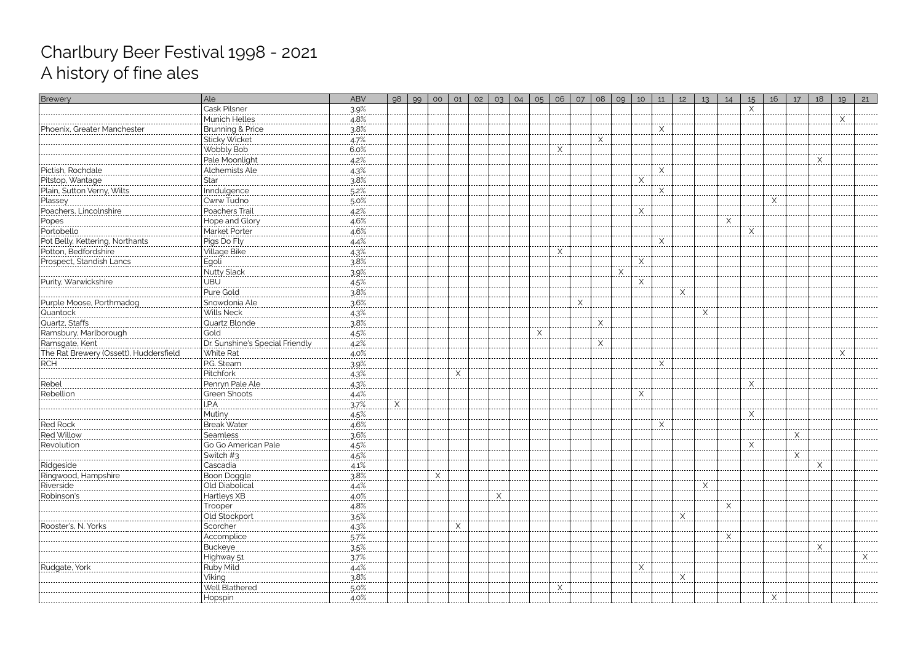| Brewery                                                                                                  | Ale                                               | <b>ABV</b>            | 98 | 99 | O <sub>O</sub> | 01       | 02 | 03 | 04 | 05 | 06                   | O7       | 08    | 09 | 10       | 11                             | 12 | 13                 | 14           | 15            | 16   | 17 | 18 | 19         | 21 |
|----------------------------------------------------------------------------------------------------------|---------------------------------------------------|-----------------------|----|----|----------------|----------|----|----|----|----|----------------------|----------|-------|----|----------|--------------------------------|----|--------------------|--------------|---------------|------|----|----|------------|----|
|                                                                                                          | Cask Pilsner                                      | 3.9%                  |    |    |                |          |    |    |    |    |                      |          |       |    |          |                                |    |                    |              | $\times$      |      |    |    |            |    |
|                                                                                                          | Munich Helles                                     | $\frac{4.8\%}{3.8\%}$ |    |    |                |          |    |    |    |    |                      |          |       |    |          |                                |    |                    |              |               |      |    |    | Χ<br>----- |    |
| Phoenix, Greater Manchester                                                                              |                                                   |                       |    |    |                |          |    |    |    |    |                      |          |       |    |          | Χ                              |    |                    |              |               |      |    |    |            |    |
|                                                                                                          | Sticky Wicket                                     | $4.7\%$               |    |    |                |          |    |    |    |    |                      |          | X<br> |    |          |                                |    |                    |              |               |      |    |    |            |    |
|                                                                                                          | Wobbly Bob                                        | $6.0\%$               |    |    |                |          |    |    |    |    | .X.                  |          |       |    |          |                                |    |                    |              |               |      |    |    |            |    |
|                                                                                                          | Pale Moonlight                                    | 4.2%                  |    |    |                |          |    |    |    |    |                      |          |       |    |          |                                |    |                    |              |               |      |    | Х  |            |    |
| Pictish, Rochdale                                                                                        | Alchemists Ale                                    | $4.3\%$               |    |    |                |          |    |    |    |    |                      |          |       |    |          | $\mathsf{X}_{\cdot\cdot\cdot}$ |    |                    |              |               |      |    |    |            |    |
| Pitstop, Wantage                                                                                         | Star                                              | 3.8%                  |    |    |                |          |    |    |    |    |                      |          |       |    | $\times$ |                                |    |                    |              |               |      |    |    |            |    |
| Plain, Sutton Verny, Wilts                                                                               | Inndulgence                                       | $.5.2\%$              |    |    |                |          |    |    |    |    |                      |          |       |    |          | X<br>.                         |    |                    |              |               |      |    |    |            |    |
| Plassey<br>                                                                                              | Cwrw Tudno                                        | $5.0\%$               |    |    |                |          |    |    |    |    |                      |          |       |    |          |                                |    |                    |              |               | Χ    |    |    |            |    |
| Poachers, Lincolnshire                                                                                   | Poachers Trail                                    | $4.2\%$               |    |    |                |          |    |    |    |    |                      |          |       |    | Χ        |                                |    |                    |              |               |      |    |    |            |    |
| Popes                                                                                                    | Hope and Glory                                    | 4.6%                  |    |    |                |          |    |    |    |    |                      |          |       |    |          |                                |    |                    | Х            |               |      |    |    |            |    |
|                                                                                                          |                                                   | 4.6%                  |    |    |                |          |    |    |    |    |                      |          |       |    |          |                                |    |                    |              | X<br>$\cdots$ |      |    |    |            |    |
|                                                                                                          | Market Porter<br>  Market Porter<br>  Pigs Do Fly | $4.4\%$               |    |    |                |          |    |    |    |    |                      |          |       |    |          | Χ                              |    |                    |              |               |      |    |    |            |    |
| Portobello<br>Pot Belly, Kettering, Northants<br>Pot Belly, Kettering, Northants<br>Potton, Bedfordshire | Village Bike                                      | $4.3\%$               |    |    |                |          |    |    |    |    | $\mathsf{X}_{\cdot}$ |          |       |    |          |                                |    |                    |              |               |      |    |    |            |    |
| Prospect, Standish Lancs                                                                                 | <u>Egoli</u>                                      | $3.8\%$               |    |    |                |          |    |    |    |    |                      |          |       |    | Χ        |                                |    |                    |              |               |      |    |    |            |    |
|                                                                                                          | Nutty Slack                                       | 3.9%                  |    |    |                |          |    |    |    |    |                      |          |       | X  |          |                                |    |                    |              |               |      |    |    |            |    |
| Purity, Warwickshire                                                                                     | UBU                                               | $4.5\%$               |    |    |                |          |    |    |    |    |                      |          |       |    | $\times$ |                                |    |                    |              |               |      |    |    |            |    |
|                                                                                                          |                                                   | 3.8%                  |    |    |                |          |    |    |    |    |                      |          |       |    | -----    |                                | Χ  |                    |              |               |      |    |    |            |    |
| Purple Moose, Porthmadog                                                                                 | Snowdonia Ale                                     | $3.6\%$               |    |    |                |          |    |    |    |    |                      | $\times$ |       |    |          |                                |    |                    |              |               |      |    |    |            |    |
| Quantock                                                                                                 | Wills Neck                                        | 4.3%                  |    |    |                |          |    |    |    |    |                      |          |       |    |          |                                |    | ------<br>$\times$ |              |               |      |    |    |            |    |
| Quartz, Staffs                                                                                           | Quartz Blonde                                     | 3.8%                  |    |    |                |          |    |    |    |    |                      |          |       |    |          |                                |    |                    |              |               |      |    |    |            |    |
| Ramsbury, Marlborough                                                                                    | Gold                                              | 4.5%                  |    |    |                |          |    |    |    | Χ  |                      |          |       |    |          |                                |    |                    |              |               |      |    |    |            |    |
| Ramsgate, Kent                                                                                           | Dr. Sunshine's Special Friendly                   | $4.2\%$               |    |    |                |          |    |    |    |    |                      |          | X     |    |          |                                |    |                    |              |               |      |    |    |            |    |
| <u>The Rat Brewery (Ossett), Huddersfield</u>                                                            | White Rat                                         | $4.0\%$               |    |    |                |          |    |    |    |    |                      |          |       |    |          |                                |    |                    |              |               |      |    |    | $\times$   |    |
| RCH.                                                                                                     | P.G. Steam                                        | 39%                   |    |    |                |          |    |    |    |    |                      |          |       |    |          | X                              |    |                    |              |               |      |    |    |            |    |
|                                                                                                          | Pitchfork                                         | $4.3\%$               |    |    |                | $\times$ |    |    |    |    |                      |          |       |    |          |                                |    |                    |              |               |      |    |    |            |    |
| .<br>Rebel                                                                                               | Penryn Pale Ale                                   | 4.3%                  |    |    |                |          |    |    |    |    |                      |          |       |    |          |                                |    |                    |              | X             |      |    |    |            |    |
| Rebellion                                                                                                | Green Shoots                                      | $4.4\%$               |    |    |                |          |    |    |    |    |                      |          |       |    | $\times$ |                                |    |                    |              |               |      |    |    |            |    |
|                                                                                                          | I.P.A                                             | 3.7%                  | X  |    |                |          |    |    |    |    |                      |          |       |    |          |                                |    |                    |              |               |      |    |    |            |    |
|                                                                                                          | Mutiny                                            | $4.5\%$               |    |    |                |          |    |    |    |    |                      |          |       |    |          |                                |    |                    |              | X             |      |    |    |            |    |
| ----------------<br>Red Rock                                                                             | <b>Break Water</b>                                | 4.6%                  |    |    |                |          |    |    |    |    |                      |          |       |    |          | Χ                              |    |                    |              |               |      |    |    |            |    |
| Red Willow                                                                                               | Seamless                                          | $3.6\%$               |    |    |                |          |    |    |    |    |                      |          |       |    |          |                                |    |                    |              |               |      | X  |    |            |    |
| Revolution                                                                                               | Go Go American Pale                               | $4.5\%$ .             |    |    |                |          |    |    |    |    |                      |          |       |    |          |                                |    |                    |              | X             |      |    |    |            |    |
|                                                                                                          | Switch #3                                         | $4.5\%$               |    |    |                |          |    |    |    |    |                      |          |       |    |          |                                |    |                    |              |               |      |    |    |            |    |
| Ridgeside                                                                                                | Cascadia                                          | $4.1\%$               |    |    |                |          |    |    |    |    |                      |          |       |    |          |                                |    |                    |              |               |      |    |    |            |    |
| Ringwood, Hampshire                                                                                      | <br>Boon Doggle                                   | 3.8%                  |    |    |                |          |    |    |    |    |                      |          |       |    |          |                                |    |                    |              |               |      |    |    |            |    |
| Riverside                                                                                                | Old Diabolical                                    | $4.4\%$               |    |    |                |          |    |    |    |    |                      |          |       |    |          |                                |    |                    |              |               |      |    |    |            |    |
| Robinson's                                                                                               | Hartleys XB                                       | $4.0\%$               |    |    |                |          |    |    |    |    |                      |          |       |    |          |                                |    |                    |              |               |      |    |    |            |    |
| . <b>.</b> .                                                                                             |                                                   | $4.8\%$               |    |    |                |          |    |    |    |    |                      |          |       |    |          |                                |    |                    | <u>. X .</u> |               |      |    |    |            |    |
|                                                                                                          | Trooper<br><br>Old Stockport                      | 3.5%                  |    |    |                |          |    |    |    |    |                      |          |       |    |          |                                | X  |                    |              |               |      |    |    |            |    |
| Rooster's, N. Yorks                                                                                      | Scorcher                                          |                       |    |    |                |          |    |    |    |    |                      |          |       |    |          |                                |    |                    |              |               |      |    |    |            |    |
|                                                                                                          | Accomplice<br>                                    | $4.3\%$<br>$.5.7\%$   |    |    |                |          |    |    |    |    |                      |          |       |    |          |                                |    |                    |              |               |      |    |    |            |    |
|                                                                                                          |                                                   |                       |    |    |                |          |    |    |    |    |                      |          |       |    |          |                                |    |                    |              |               |      |    |    |            |    |
|                                                                                                          |                                                   | $3.5\%$               |    |    |                |          |    |    |    |    |                      |          |       |    |          |                                |    |                    |              |               |      |    |    |            | X  |
| Rudgate, York                                                                                            | Highway 51<br><b>Ruby Mild</b>                    | 37%                   |    |    |                |          |    |    |    |    |                      |          |       |    | X        |                                |    |                    |              |               |      |    |    |            |    |
|                                                                                                          |                                                   | $4.4\%$               |    |    |                |          |    |    |    |    |                      |          |       |    |          |                                | X  |                    |              |               |      |    |    |            |    |
|                                                                                                          | <u> Viking</u><br><br>Well Blathered              | $3.8\%$               |    |    |                |          |    |    |    |    | X                    |          |       |    |          |                                |    |                    |              |               |      |    |    |            |    |
|                                                                                                          |                                                   | $5.0\%$               |    |    |                |          |    |    |    |    |                      |          |       |    |          |                                |    |                    |              |               |      |    |    |            |    |
|                                                                                                          |                                                   |                       |    |    |                |          |    |    |    |    |                      |          |       |    |          |                                |    |                    |              |               | L…≙… |    |    |            |    |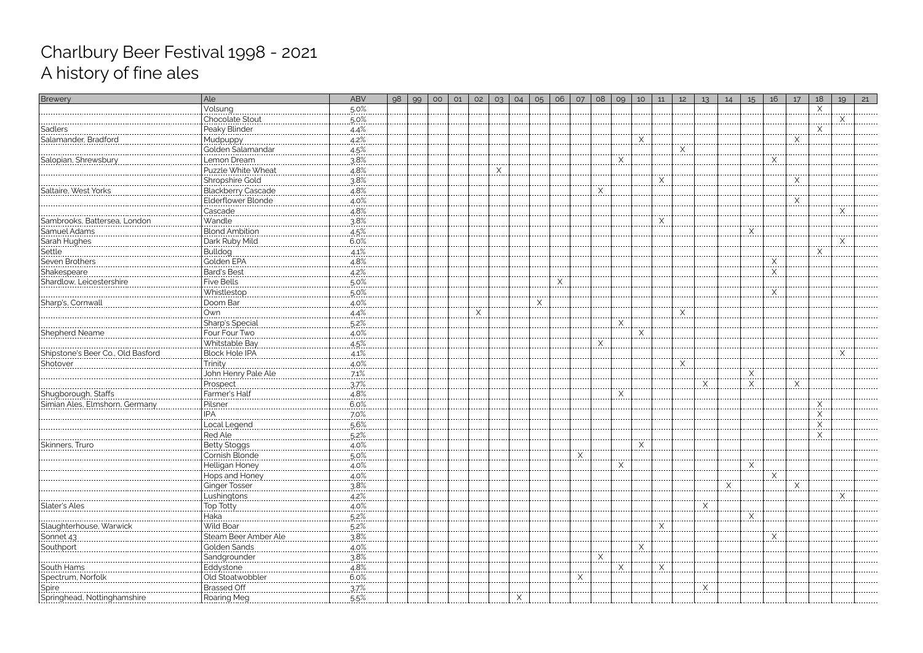| Brewery                                               | Ale                           | <b>ABV</b>      | 98 | 99 | O <sub>O</sub> | O1 | 02 | 03 | 04 | O <sub>5</sub> | 06 | 07 | 08 | 09       | 10           | 11                | 12 | 13       | 14 | 15          | 16 | 17          | 18                | 19         | 21 |
|-------------------------------------------------------|-------------------------------|-----------------|----|----|----------------|----|----|----|----|----------------|----|----|----|----------|--------------|-------------------|----|----------|----|-------------|----|-------------|-------------------|------------|----|
|                                                       | Volsung                       | $.50\%$         |    |    |                |    |    |    |    |                |    |    |    |          |              |                   |    |          |    |             |    |             | X                 |            |    |
|                                                       | Chocolate Stout               | $5.0\%$         |    |    |                |    |    |    |    |                |    |    |    |          |              |                   |    |          |    |             |    |             |                   | X<br>----- |    |
| Sadlers                                               |                               | $4.4\%$ .       |    |    |                |    |    |    |    |                |    |    |    |          |              |                   |    |          |    |             |    |             | $\times$          |            |    |
| Salamander, Bradford                                  |                               | $4.2\%$         |    |    |                |    |    |    |    |                |    |    |    |          | X            |                   |    |          |    |             |    | X<br>       |                   |            |    |
|                                                       | Golden Salamandar             | 4.5%            |    |    |                |    |    |    |    |                |    |    |    |          |              |                   | Χ  |          |    |             |    |             |                   |            |    |
| Salopian, Shrewsbury                                  | Lemon Dream<br>               | $3.8\%$         |    |    |                |    |    |    |    |                |    |    |    | X        |              |                   |    |          |    |             | X  |             |                   |            |    |
|                                                       | Puzzle White Wheat            | 4.8%            |    |    |                |    |    |    |    |                |    |    |    |          |              |                   |    |          |    |             |    |             |                   |            |    |
|                                                       | Shropshire Gold               | $3.8\%$         |    |    |                |    |    |    |    |                |    |    |    |          |              | $\overline{\chi}$ |    |          |    |             |    | <u>. X.</u> |                   |            |    |
| Saltaire, West Yorks                                  | Blackberry Cascade            | 4.8%<br>.       |    |    |                |    |    |    |    |                |    |    | Χ  |          |              |                   |    |          |    |             |    |             |                   |            |    |
|                                                       | Elderflower Blonde            | $4.0\%$         |    |    |                |    |    |    |    |                |    |    |    |          |              |                   |    |          |    |             |    | X           |                   |            |    |
|                                                       | Cascade                       | 4.8%            |    |    |                |    |    |    |    |                |    |    |    |          |              |                   |    |          |    |             |    |             |                   |            |    |
| Sambrooks, Battersea, London                          | Wandle                        | 3.8%            |    |    |                |    |    |    |    |                |    |    |    |          |              |                   |    |          |    |             |    |             |                   |            |    |
|                                                       | <b>Blond Ambition</b>         | 4.5%            |    |    |                |    |    |    |    |                |    |    |    |          |              |                   |    |          |    | Χ           |    |             |                   |            |    |
| Samuel Adams<br>Sarah Hughes                          | Dark Ruby Mild                | $6.0\%$         |    |    |                |    |    |    |    |                |    |    |    |          |              |                   |    |          |    |             |    |             |                   | X          |    |
| Settle<br>                                            | Bulldog                       | $4.1\%$         |    |    |                |    |    |    |    |                |    |    |    |          |              |                   |    |          |    |             |    |             | $\times$<br>----- |            |    |
| Seven Brothers                                        | Golden EPA                    | 4.8%            |    |    |                |    |    |    |    |                |    |    |    |          |              |                   |    |          |    |             | X  |             |                   |            |    |
| Shakespeare                                           | Bard's Best                   | $4.2\%$         |    |    |                |    |    |    |    |                |    |    |    |          |              |                   |    |          |    |             | Χ  |             |                   |            |    |
| Shardlow, Leicestershire                              | <b>Five Bells</b>             | $.5.0\%$        |    |    |                |    |    |    |    |                | X  |    |    |          |              |                   |    |          |    |             |    |             |                   |            |    |
|                                                       | Whistlestop                   | $5.0\%$         |    |    |                |    |    |    |    |                |    |    |    |          |              |                   |    |          |    |             | X  |             |                   |            |    |
| Sharp's, Cornwall                                     | Doom Bar                      | 4.0%            |    |    |                |    |    |    |    | Χ              |    |    |    |          |              |                   |    |          |    |             |    |             |                   |            |    |
|                                                       | Own                           | 4.4%            |    |    |                |    | Χ  |    |    |                |    |    |    |          |              |                   | Χ  |          |    |             |    |             |                   |            |    |
|                                                       | Sharp's Special               | 5.2%            |    |    |                |    |    |    |    |                |    |    |    | X        |              |                   |    |          |    |             |    |             |                   |            |    |
| Shepherd Neame                                        | Four Four Two                 | $4.0\%$         |    |    |                |    |    |    |    |                |    |    |    |          | X<br>.       |                   |    |          |    |             |    |             |                   |            |    |
|                                                       | Whitstable Bay                | 4.5%            |    |    |                |    |    |    |    |                |    |    |    |          |              |                   |    |          |    |             |    |             |                   |            |    |
| Shipstone's Beer Co., Old Basford                     |                               | $4.1\%$         |    |    |                |    |    |    |    |                |    |    |    |          |              |                   |    |          |    |             |    |             |                   | X          |    |
| Shotover                                              | <u>Trinity</u>                | 4.0%            |    |    |                |    |    |    |    |                |    |    |    |          |              |                   | Χ  |          |    |             |    |             |                   |            |    |
|                                                       | John Henry Pale Ale           | $7.1\%$         |    |    |                |    |    |    |    |                |    |    |    |          |              |                   |    |          |    | X<br>------ |    |             |                   |            |    |
|                                                       | Prospect                      | 37%             |    |    |                |    |    |    |    |                |    |    |    |          |              |                   |    | Χ        |    | Χ           |    | Χ           |                   |            |    |
| Shugborough, Staffs<br>Simian Ales, Elmshorn, Germany | Farmer's Half                 | .4.8%           |    |    |                |    |    |    |    |                |    |    |    | $\times$ |              |                   |    |          |    |             |    |             |                   |            |    |
|                                                       | Pilsner                       | 6.0%<br>------- |    |    |                |    |    |    |    |                |    |    |    |          |              |                   |    |          |    |             |    |             | $\times$<br>      |            |    |
|                                                       | IPA                           | $7.0\%$         |    |    |                |    |    |    |    |                |    |    |    |          |              |                   |    |          |    |             |    |             | $\times$<br>----- |            |    |
|                                                       | Local Legend                  | 5.6%            |    |    |                |    |    |    |    |                |    |    |    |          |              |                   |    |          |    |             |    |             | $\frac{1}{2}$     |            |    |
|                                                       | <b>Red Ale</b>                | $5.2\%$         |    |    |                |    |    |    |    |                |    |    |    |          |              |                   |    |          |    |             |    |             | X<br>--------     |            |    |
| Skinners, Truro                                       | Betty Stoggs                  | $4.0\%$         |    |    |                |    |    |    |    |                |    |    |    |          | X            |                   |    |          |    |             |    |             |                   |            |    |
|                                                       | Cornish Blonde                | $.50\%$         |    |    |                |    |    |    |    |                |    | X  |    |          |              |                   |    |          |    |             |    |             |                   |            |    |
|                                                       | Helligan Honey                | .4.0%           |    |    |                |    |    |    |    |                |    |    |    | X        |              |                   |    |          |    | X           |    |             |                   |            |    |
|                                                       | Hops and Honey                | $4.0\%$         |    |    |                |    |    |    |    |                |    |    |    |          |              |                   |    |          |    |             |    |             |                   |            |    |
|                                                       | Ginger Tosser                 | 3.8%            |    |    |                |    |    |    |    |                |    |    |    |          |              |                   |    |          |    |             |    | X           |                   |            |    |
|                                                       | Lushingtons                   | $4.2\%$         |    |    |                |    |    |    |    |                |    |    |    |          |              |                   |    | $\times$ |    |             |    |             |                   |            |    |
| Slater's Ales                                         | Top Totty                     | $4.0\%$         |    |    |                |    |    |    |    |                |    |    |    |          |              |                   |    |          |    |             |    |             |                   |            |    |
|                                                       | Haka<br>Wild Boar             | $.5.2\%$        |    |    |                |    |    |    |    |                |    |    |    |          |              |                   |    |          |    | X           |    |             |                   |            |    |
| Slaughterhouse, Warwick                               |                               | $5.2\%$         |    |    |                |    |    |    |    |                |    |    |    |          |              |                   |    |          |    |             |    |             |                   |            |    |
| Sonnet 43                                             | Steam Beer Amber Ale          | 3.8%            |    |    |                |    |    |    |    |                |    |    |    |          |              |                   |    |          |    |             |    |             |                   |            |    |
| Southport                                             | Golden Sands                  | $4.0\%$         |    |    |                |    |    |    |    |                |    |    |    |          | <u>. X .</u> |                   |    |          |    |             |    |             |                   |            |    |
|                                                       | Sandgrounder                  | 3.8%            |    |    |                |    |    |    |    |                |    |    |    | $\times$ |              |                   |    |          |    |             |    |             |                   |            |    |
| South Hams<br>------------------                      | Eddystone<br>Old Stoatwobbler | 4.8%<br>6.0%    |    |    |                |    |    |    |    |                |    |    |    |          |              | X                 |    |          |    |             |    |             |                   |            |    |
| Spectrum, Norfolk                                     |                               |                 |    |    |                |    |    |    |    |                |    |    |    |          |              |                   |    |          |    |             |    |             |                   |            |    |
| Spire<br><br>Springhead, Nottinghamshire              | Brassed Off                   | $37\%$          |    |    |                |    |    |    |    |                |    |    |    |          |              |                   |    |          |    |             |    |             |                   |            |    |
|                                                       | Roaring Meg                   | $.5.5\%$        |    |    |                |    |    |    |    |                |    |    |    |          |              |                   |    |          |    |             |    |             |                   |            |    |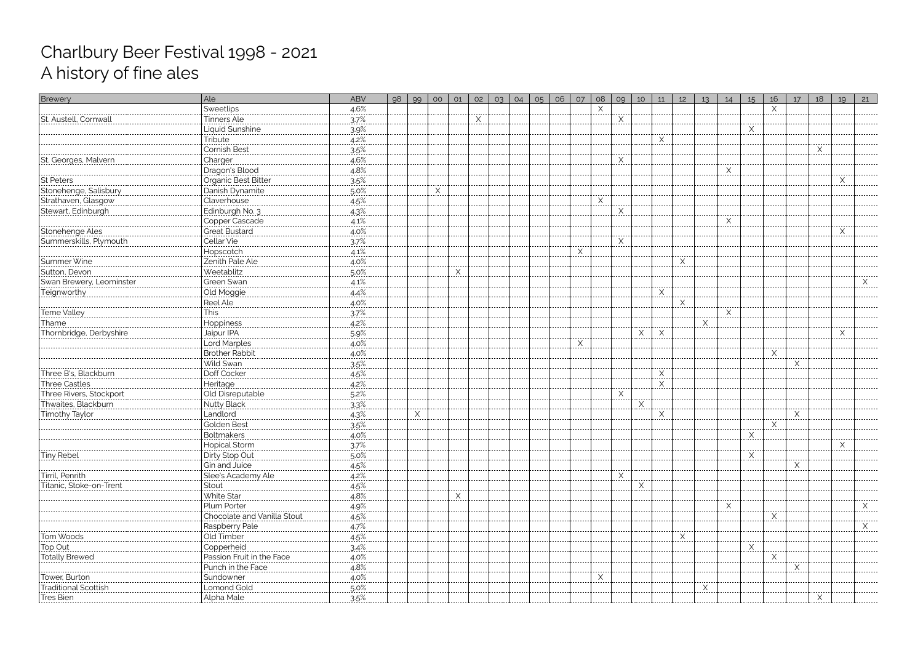| Brewery                                      | Ale                                             | ABV                | 98 | 99 | 00       | O1 | 02 | O <sub>3</sub> | 04 | 05 | 06 | 07 | 08 | 09         | 10       | 11       | 12       | 13 | 14          | 15         | 16         | 17 | 18   | 19 | 21                |
|----------------------------------------------|-------------------------------------------------|--------------------|----|----|----------|----|----|----------------|----|----|----|----|----|------------|----------|----------|----------|----|-------------|------------|------------|----|------|----|-------------------|
|                                              | Sweetlips                                       | .4.6%              |    |    |          |    |    |                |    |    |    |    |    |            |          |          |          |    |             |            | Χ          |    |      |    |                   |
| St. Austell, Cornwall                        | Tinners Ale                                     | 3.7%               |    |    |          |    | Χ  |                |    |    |    |    |    | $\times$   |          |          |          |    |             |            |            |    |      |    |                   |
|                                              | Liquid Sunshine                                 | 3.9%               |    |    |          |    |    |                |    |    |    |    |    |            |          |          |          |    |             | X<br>.     |            |    |      |    |                   |
|                                              | <u>Tribute</u><br>                              | $4.2\%$            |    |    |          |    |    |                |    |    |    |    |    |            |          | Χ        |          |    |             |            |            |    |      |    |                   |
|                                              | Cornish Best                                    | $3.5\%$            |    |    |          |    |    |                |    |    |    |    |    |            |          |          |          |    |             |            |            |    | X    |    |                   |
| St. Georges, Malverr                         | Charger                                         | 4.6%               |    |    |          |    |    |                |    |    |    |    |    | $\times$   |          |          |          |    |             |            |            |    |      |    |                   |
|                                              | Dragon's Blood                                  | $4.8\%$            |    |    |          |    |    |                |    |    |    |    |    |            |          |          |          |    | X<br>-----  |            |            |    |      |    |                   |
| ------------------------------<br> St Peters | -::::3-::::<br> Organic Best Bitter             | $3.5\%$            |    |    |          |    |    |                |    |    |    |    |    |            |          |          |          |    |             |            |            |    |      | Χ  |                   |
| Stonehenge, Salisbury                        | Danish Dynamite                                 | $5.0\%$            |    |    | $\times$ |    |    |                |    |    |    |    |    |            |          |          |          |    |             |            |            |    |      |    |                   |
| Strathaven, Glasgow                          | Claverhouse                                     | 4.5%               |    |    |          |    |    |                |    |    |    |    | Χ  |            |          |          |          |    |             |            |            |    |      |    |                   |
| Stewart, Edinburgh                           | Edinburgh No. 3                                 | $4.3\%$            |    |    |          |    |    |                |    |    |    |    |    | $\times$   |          |          |          |    |             |            |            |    |      |    |                   |
| -----------------------------                | Copper Cascade                                  | $4.1\%$            |    |    |          |    |    |                |    |    |    |    |    |            |          |          |          |    | X<br>------ |            |            |    |      |    |                   |
| Stonehenge Ales                              | Great Bustard                                   | $4.0\%$            |    |    |          |    |    |                |    |    |    |    |    |            |          |          |          |    |             |            |            |    |      | Χ  |                   |
| Summerskills, Plymouth                       | Cellar Vie<br>.                                 | .37%               |    |    |          |    |    |                |    |    |    |    |    | X<br>----- |          |          |          |    |             |            |            |    |      |    |                   |
|                                              | Hopscotch                                       | $4.1\%$            |    |    |          |    |    |                |    |    |    | X  |    |            |          |          |          |    |             |            |            |    |      |    |                   |
| Summer Wine                                  | Zenith Pale Ale                                 | $4.0\%$            |    |    |          |    |    |                |    |    |    |    |    |            |          |          | X        |    |             |            |            |    |      |    |                   |
| Sutton, Devon                                | Weetablitz                                      | 5.0%               |    |    |          | Χ  |    |                |    |    |    |    |    |            |          |          |          |    |             |            |            |    |      |    |                   |
| Swan Brewery, Leominster                     | Green Swan                                      | $4.1\%$            |    |    |          |    |    |                |    |    |    |    |    |            |          |          |          |    |             |            |            |    |      |    |                   |
| <u>Teignworthy</u>                           | Old Moggie                                      | 4.4%               |    |    |          |    |    |                |    |    |    |    |    |            |          | $\times$ |          |    |             |            |            |    |      |    |                   |
| ----------------------------                 | Reel Ale                                        | $4.0\%$            |    |    |          |    |    |                |    |    |    |    |    |            |          |          | $\times$ |    | ------      |            |            |    |      |    |                   |
| Teme Valley                                  | This                                            | 37%                |    |    |          |    |    |                |    |    |    |    |    |            |          |          |          |    |             |            |            |    |      |    |                   |
| Thame                                        | Hoppiness                                       | 4.2%               |    |    |          |    |    |                |    |    |    |    |    |            |          |          |          | Χ  |             |            |            |    |      |    |                   |
| Thornbridge, Derbyshire                      | Jaipur IPA                                      | 5.9%               |    |    |          |    |    |                |    |    |    |    |    |            | X        | $\times$ |          |    |             |            |            |    |      | X  |                   |
|                                              | Lord Marples                                    | $4.0\%$            |    |    |          |    |    |                |    |    |    | X  |    |            |          |          |          |    |             |            |            |    |      |    |                   |
|                                              | Brother Rabbit                                  | 4.0%               |    |    |          |    |    |                |    |    |    |    |    |            |          |          |          |    |             |            | X          |    |      |    |                   |
|                                              | Wild Swan                                       | .35%               |    |    |          |    |    |                |    |    |    |    |    |            |          |          |          |    |             |            |            | Х  |      |    |                   |
| Three B's, Blackburn                         | Doff Cocker                                     | 4.5%               |    |    |          |    |    |                |    |    |    |    |    |            |          |          |          |    |             |            |            |    |      |    |                   |
| Three Castles<br>Three Rivers, Stockport     | Heritage<br>  Heritage<br>  Old Disreputable    | $4.2\%$            |    |    |          |    |    |                |    |    |    |    |    |            |          | X<br>.   |          |    |             |            |            |    |      |    |                   |
|                                              |                                                 | $5.2\%$            |    |    |          |    |    |                |    |    |    |    |    | $\times$   |          |          |          |    |             |            |            |    |      |    |                   |
| Thwaites, Blackburn                          | Nutty Black                                     | 3.3%               |    |    |          |    |    |                |    |    |    |    |    |            | $\times$ |          |          |    |             |            |            |    |      |    |                   |
| <u>Timothy Taylor</u>                        | Landlord                                        | 4.3%               |    | Χ  |          |    |    |                |    |    |    |    |    |            |          | Χ        |          |    |             |            |            | X  |      |    |                   |
|                                              | Golden Best                                     | .35%               |    |    |          |    |    |                |    |    |    |    |    |            |          |          |          |    |             |            | X          |    |      |    |                   |
|                                              | <b>Boltmakers</b>                               | 4.0%               |    |    |          |    |    |                |    |    |    |    |    |            |          |          |          |    |             | <u>.X.</u> |            |    |      |    |                   |
|                                              | Hopical Storm                                   | 37%                |    |    |          |    |    |                |    |    |    |    |    |            |          |          |          |    |             |            |            |    |      | X  |                   |
| Tiny Rebel                                   | Dirty Stop Out                                  | 5.0%               |    |    |          |    |    |                |    |    |    |    |    |            |          |          |          |    |             |            |            |    |      |    |                   |
|                                              | Gin and Juice                                   | 4.5%               |    |    |          |    |    |                |    |    |    |    |    |            |          |          |          |    |             |            |            |    |      |    |                   |
| Tirril, Penrith                              | Slee's Academy Ale                              | $4.2\%$            |    |    |          |    |    |                |    |    |    |    |    |            |          |          |          |    |             |            |            |    |      |    |                   |
| Titanic, Stoke-on-Trent                      | Stout                                           | $4.5\%$            |    |    |          |    |    |                |    |    |    |    |    |            |          |          |          |    |             |            |            |    |      |    |                   |
|                                              | White Star<br>                                  | $4.8\%$            |    |    |          | Χ  |    |                |    |    |    |    |    |            |          |          |          |    |             |            |            |    |      |    |                   |
|                                              | Plum Porter                                     | 4.9%               |    |    |          |    |    |                |    |    |    |    |    |            |          |          |          |    |             |            |            |    |      |    | Χ<br>. <b>.</b> . |
|                                              | Chocolate and Vanilla Stout                     | $4.5\%$            |    |    |          |    |    |                |    |    |    |    |    |            |          |          |          |    |             |            | <u>. X</u> |    |      |    |                   |
|                                              | Raspberry Pale                                  | 4.7%               |    |    |          |    |    |                |    |    |    |    |    |            |          |          |          |    |             |            |            |    |      |    | Χ                 |
| Tom Woods                                    | Old Timber<br>--------------------------------- | $4.5\%$            |    |    |          |    |    |                |    |    |    |    |    |            |          |          |          |    |             |            |            |    |      |    |                   |
| Top Out                                      | Copperheid                                      | 3.4%               |    |    |          |    |    |                |    |    |    |    |    |            |          |          |          |    |             |            |            |    |      |    |                   |
| Totally Brewed                               | Passion Fruit in the Face                       | $4.0\%$            |    |    |          |    |    |                |    |    |    |    |    |            |          |          |          |    |             |            | Χ<br>.     |    |      |    |                   |
|                                              | Punch in the Face                               | 4.8%               |    |    |          |    |    |                |    |    |    |    |    |            |          |          |          |    |             |            |            |    |      |    |                   |
| Tower, Burton                                | Sundowner                                       | $4.0\%$            |    |    |          |    |    |                |    |    |    |    |    |            |          |          |          |    |             |            |            |    |      |    |                   |
| Traditional Scottisł                         | Lomond Gold                                     | 5.0%               |    |    |          |    |    |                |    |    |    |    |    |            |          |          |          |    |             |            |            |    |      |    |                   |
|                                              |                                                 | $\frac{3.5\%}{\ }$ |    |    |          |    |    |                |    |    |    |    |    |            |          |          |          |    |             |            |            |    | l^l. |    |                   |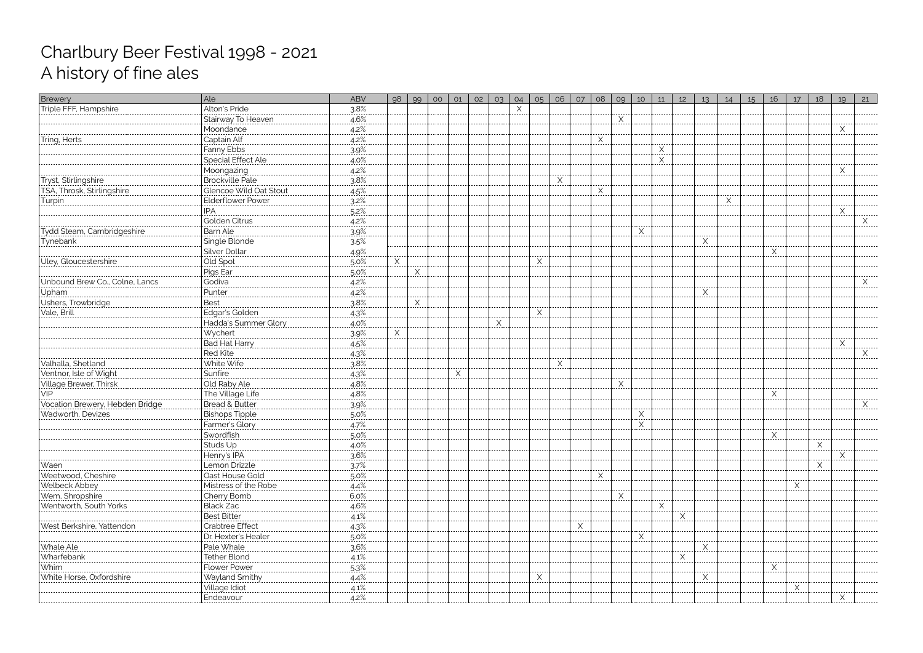| <b>Brewery</b>                 | Ale                                         | <b>ABV</b> | 98          | 99 | O <sub>O</sub> | O1 | 02 | O <sub>3</sub> | 04       | O <sub>5</sub> | 06          | O7 | 08         | 09       | 10               | 11 | 12 | 13 <sup>°</sup>   | 14 | 15 | 16        | 17 | 18       | 19 | 21 |
|--------------------------------|---------------------------------------------|------------|-------------|----|----------------|----|----|----------------|----------|----------------|-------------|----|------------|----------|------------------|----|----|-------------------|----|----|-----------|----|----------|----|----|
| Triple FFF, Hampshire          | Alton's Pride                               | 3.8%       |             |    |                |    |    |                | $\times$ |                |             |    |            |          |                  |    |    |                   |    |    |           |    |          |    |    |
|                                | Stairway To Heaven                          | 4.6%       |             |    |                |    |    |                |          |                |             |    |            | Χ<br>    |                  |    |    |                   |    |    |           |    |          |    |    |
|                                | Moondance                                   | $4.2\%$    |             |    |                |    |    |                |          |                |             |    |            |          |                  |    |    |                   |    |    |           |    |          | X  |    |
| Tring, Herts<br>               | Captain Alf                                 | $4.2\%$    |             |    |                |    |    |                |          |                |             |    | Χ<br>----- |          |                  |    |    |                   |    |    |           |    |          |    |    |
|                                | Fanny Ebbs                                  | 3.9%       |             |    |                |    |    |                |          |                |             |    |            |          |                  | X  |    |                   |    |    |           |    |          |    |    |
|                                | Special Effect Ale                          | $4.0\%$    |             |    |                |    |    |                |          |                |             |    |            |          |                  |    |    |                   |    |    |           |    |          |    |    |
|                                | Moongazing                                  | 4.2%       |             |    |                |    |    |                |          |                |             |    |            |          |                  |    |    |                   |    |    |           |    |          | X  |    |
|                                | Brockville Pale                             | 3.8%       |             |    |                |    |    |                |          |                | <u>. X.</u> |    |            |          |                  |    |    |                   |    |    |           |    |          |    |    |
| TSA, Throsk, Stirlingshire     | Glencoe Wild Oat Stout                      | 4.5%       |             |    |                |    |    |                |          |                |             |    | X          |          |                  |    |    |                   |    |    |           |    |          |    |    |
| Turpin<br>                     | Elderflower Power                           | $3.2\%$    |             |    |                |    |    |                |          |                |             |    |            |          |                  |    |    |                   | X  |    |           |    |          |    |    |
|                                | IPA                                         | $5.2\%$    |             |    |                |    |    |                |          |                |             |    |            |          |                  |    |    |                   |    |    |           |    |          | X  |    |
|                                | Golden Citrus                               | 4.2%       |             |    |                |    |    |                |          |                |             |    |            |          |                  |    |    |                   |    |    |           |    |          |    |    |
| Tydd Steam, Cambridgeshire     | <b>Barn Ale</b>                             | .39%       |             |    |                |    |    |                |          |                |             |    |            |          | $\times$<br>---- |    |    |                   |    |    |           |    |          |    |    |
| <b>Tynebank</b>                | Single Blonde                               | 3.5%       |             |    |                |    |    |                |          |                |             |    |            |          |                  |    |    | Χ                 |    |    |           |    |          |    |    |
|                                | Silver Dollar                               | $4.9\%$    |             |    |                |    |    |                |          |                |             |    |            |          |                  |    |    |                   |    |    | Χ<br>.    |    |          |    |    |
| Uley, Gloucestershire          | Old Spot                                    | $5.0\%$    | X           |    |                |    |    |                |          | $\times$       |             |    |            |          |                  |    |    |                   |    |    |           |    |          |    |    |
|                                | Pigs Ear                                    | $5.0\%$    |             | Χ  |                |    |    |                |          |                |             |    |            |          |                  |    |    |                   |    |    |           |    |          |    |    |
| Unbound Brew Co., Colne, Lancs | Godiva                                      | 4.2%       |             |    |                |    |    |                |          |                |             |    |            |          |                  |    |    |                   |    |    |           |    |          |    |    |
| Upham                          | Punter<br>-----------                       | $4.2\%$    |             |    |                |    |    |                |          |                |             |    |            |          |                  |    |    | $\times$<br>----- |    |    |           |    |          |    |    |
| Ushers, Trowbridge             | Best                                        | 3.8%       |             | X  |                |    |    |                |          |                |             |    |            |          |                  |    |    |                   |    |    |           |    |          |    |    |
| Vale, Brill                    | Edgar's Golden                              | 4.3%       |             |    |                |    |    |                |          |                |             |    |            |          |                  |    |    |                   |    |    |           |    |          |    |    |
|                                | Hadda's Summer Glory                        | 4.0%       |             |    |                |    |    |                |          |                |             |    |            |          |                  |    |    |                   |    |    |           |    |          |    |    |
|                                |                                             | $3.9\%$    | $X_{\cdot}$ |    |                |    |    |                |          |                |             |    |            |          |                  |    |    |                   |    |    |           |    |          |    |    |
|                                | Bad Hat Harry                               | 4.5%       |             |    |                |    |    |                |          |                |             |    |            |          |                  |    |    |                   |    |    |           |    |          | Χ  |    |
|                                | <b>Red Kite</b><br>                         | 4.3%       |             |    |                |    |    |                |          |                |             |    |            |          |                  |    |    |                   |    |    |           |    |          |    |    |
| Valhalla, Shetland             | White Wife                                  | 3.8%       |             |    |                |    |    |                |          |                | X           |    |            |          |                  |    |    |                   |    |    |           |    |          |    |    |
| Ventnor, Isle of Wight         |                                             | $4.3\%$    |             |    |                | X  |    |                |          |                |             |    |            |          |                  |    |    |                   |    |    |           |    |          |    |    |
| Village Brewer, Thirsk         | Old Raby Ale                                | 4.8%       |             |    |                |    |    |                |          |                |             |    |            | $\times$ |                  |    |    |                   |    |    |           |    |          |    |    |
|                                | The Village Life                            | 4.8%       |             |    |                |    |    |                |          |                |             |    |            |          |                  |    |    |                   |    |    | .X.       |    |          |    |    |
|                                | Bread & Butter                              | 3.9%       |             |    |                |    |    |                |          |                |             |    |            |          |                  |    |    |                   |    |    |           |    |          |    |    |
| Wadworth, Devizes              | Bishops Tipple                              | $5.0\%$    |             |    |                |    |    |                |          |                |             |    |            |          | X<br>-----       |    |    |                   |    |    |           |    |          |    |    |
|                                | Farmer's Glory                              | 4.7%       |             |    |                |    |    |                |          |                |             |    |            |          | X                |    |    |                   |    |    |           |    |          |    |    |
|                                | Swordfish                                   | $5.0\%$    |             |    |                |    |    |                |          |                |             |    |            |          |                  |    |    |                   |    |    | <u>.X</u> |    |          |    |    |
|                                | Studs Up                                    | $4.0\%$    |             |    |                |    |    |                |          |                |             |    |            |          |                  |    |    |                   |    |    |           |    | X        |    |    |
|                                | Henry's IPA                                 | $3.6\%$    |             |    |                |    |    |                |          |                |             |    |            |          |                  |    |    |                   |    |    |           |    |          | X  |    |
| Waen                           | Lemon Drizzle                               | .37%       |             |    |                |    |    |                |          |                |             |    |            |          |                  |    |    |                   |    |    |           |    | $\times$ |    |    |
| Weetwood, Cheshire             | Oast House Gold                             | $5.0\%$    |             |    |                |    |    |                |          |                |             |    |            |          |                  |    |    |                   |    |    |           |    |          |    |    |
| Welbeck Abbey                  | Mistress of the Robe                        | 4.4%       |             |    |                |    |    |                |          |                |             |    |            |          |                  |    |    |                   |    |    |           |    |          |    |    |
| Wem, Shropshire                | Cherry Bomb<br>  Cherry Bomb<br>  Black Zac | $6.0\%$    |             |    |                |    |    |                |          |                |             |    |            | X        |                  |    |    |                   |    |    |           |    |          |    |    |
| Wentworth, South Yorks         |                                             | $4.6\%$    |             |    |                |    |    |                |          |                |             |    |            |          |                  |    |    |                   |    |    |           |    |          |    |    |
|                                | <b>Best Bitter</b>                          | $4.1\%$    |             |    |                |    |    |                |          |                |             |    |            |          |                  |    | .X |                   |    |    |           |    |          |    |    |
| West Berkshire, Yattendon      | Crabtree Effect                             | 4.3%       |             |    |                |    |    |                |          |                |             | X  |            |          |                  |    |    |                   |    |    |           |    |          |    |    |
|                                | Dr. Hexter's Healer                         | 5.0%       |             |    |                |    |    |                |          |                |             |    |            |          | X                |    |    |                   |    |    |           |    |          |    |    |
| Whale Ale                      | Pale Whale                                  | $3.6\%$    |             |    |                |    |    |                |          |                |             |    |            |          |                  |    |    | <u>. X</u>        |    |    |           |    |          |    |    |
| Wharfebank                     | Tether Blond                                | 4.1%       |             |    |                |    |    |                |          |                |             |    |            |          |                  |    |    |                   |    |    |           |    |          |    |    |
| Whim                           | <b>Flower Power</b>                         | .5.3%      |             |    |                |    |    |                |          |                |             |    |            |          |                  |    |    |                   |    |    |           |    |          |    |    |
| White Horse, Oxfordshire       | Wayland Smithy                              | 4.4%       |             |    |                |    |    |                |          |                |             |    |            |          |                  |    |    |                   |    |    |           |    |          |    |    |
|                                | Village Idiot                               | $4.1\%$    |             |    |                |    |    |                |          |                |             |    |            |          |                  |    |    |                   |    |    |           | Χ  |          |    |    |
|                                | Endeavour                                   | 4.2%       |             |    |                |    |    |                |          |                |             |    |            |          |                  |    |    |                   |    |    |           |    |          |    |    |